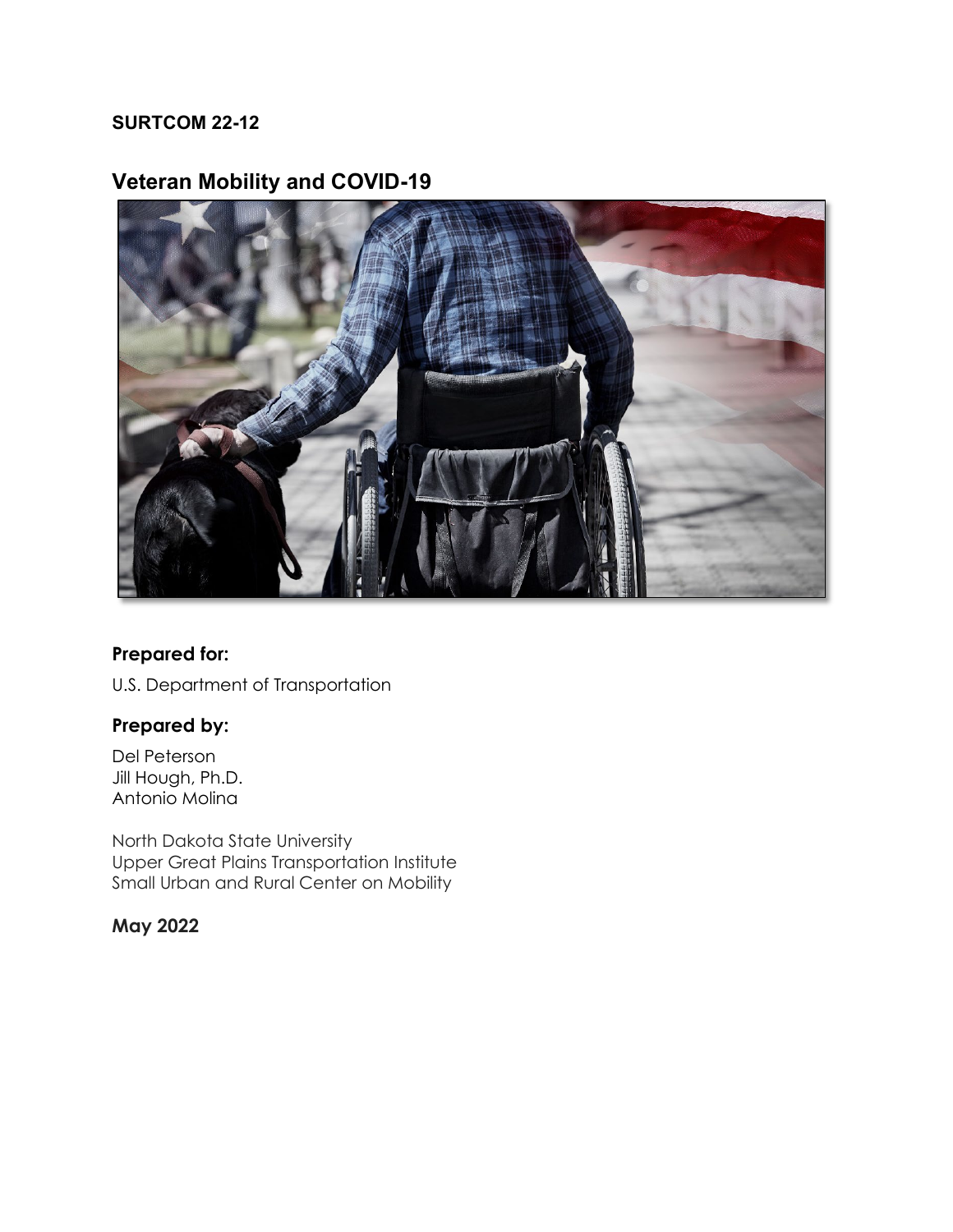#### **SURTCOM 22-12**

## **Veteran Mobility and COVID-19**



#### **Prepared for:**

U.S. Department of Transportation

#### **Prepared by:**

Del Peterson Jill Hough, Ph.D. Antonio Molina

North Dakota State University Upper Great Plains Transportation Institute Small Urban and Rural Center on Mobility

#### **May 2022**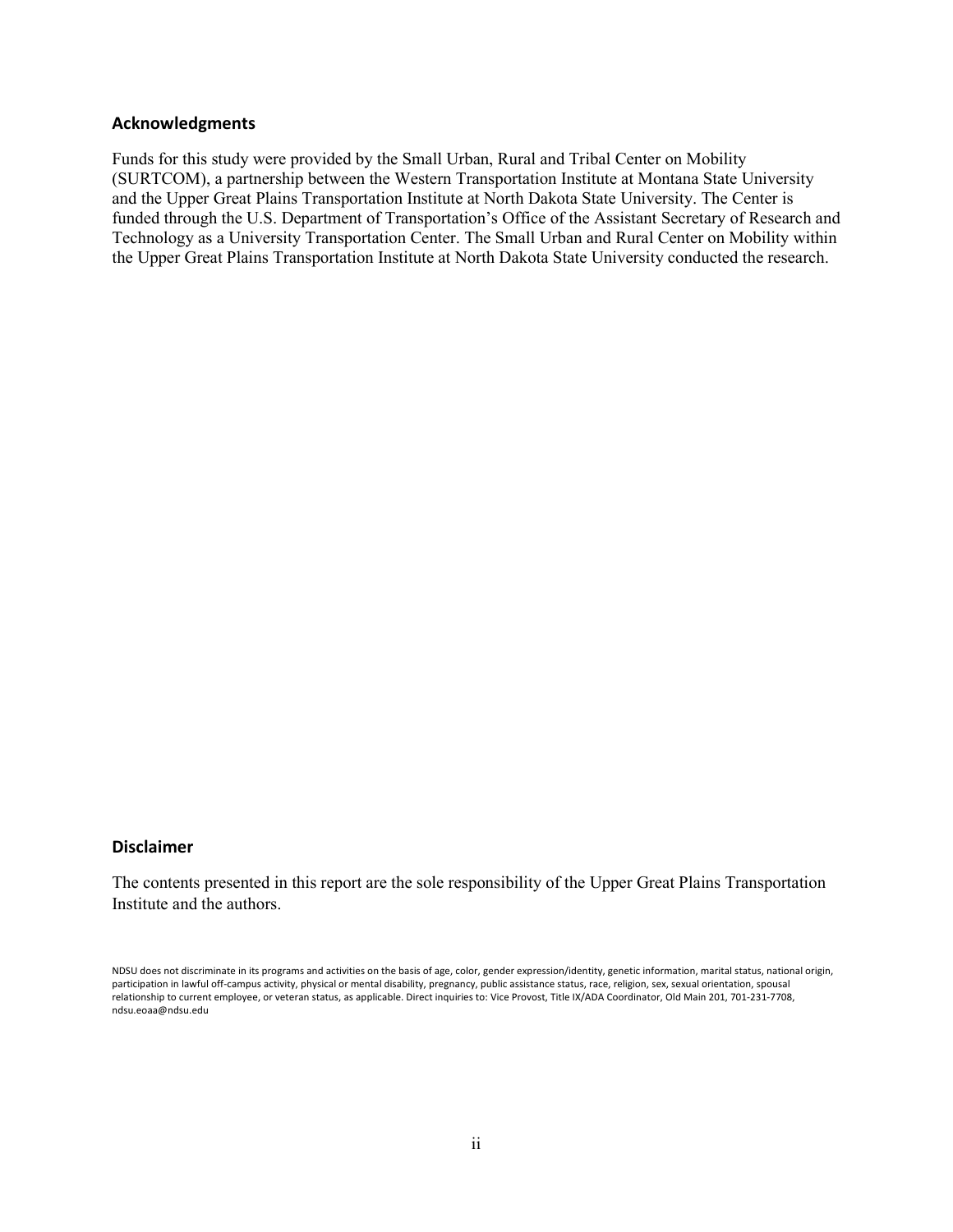#### **Acknowledgments**

Funds for this study were provided by the Small Urban, Rural and Tribal Center on Mobility (SURTCOM), a partnership between the Western Transportation Institute at Montana State University and the Upper Great Plains Transportation Institute at North Dakota State University. The Center is funded through the U.S. Department of Transportation's Office of the Assistant Secretary of Research and Technology as a University Transportation Center. The Small Urban and Rural Center on Mobility within the Upper Great Plains Transportation Institute at North Dakota State University conducted the research.

#### **Disclaimer**

The contents presented in this report are the sole responsibility of the Upper Great Plains Transportation Institute and the authors.

NDSU does not discriminate in its programs and activities on the basis of age, color, gender expression/identity, genetic information, marital status, national origin, participation in lawful off-campus activity, physical or mental disability, pregnancy, public assistance status, race, religion, sex, sexual orientation, spousal relationship to current employee, or veteran status, as applicable. Direct inquiries to: Vice Provost, Title IX/ADA Coordinator, Old Main 201, 701-231-7708, ndsu.eoaa@ndsu.edu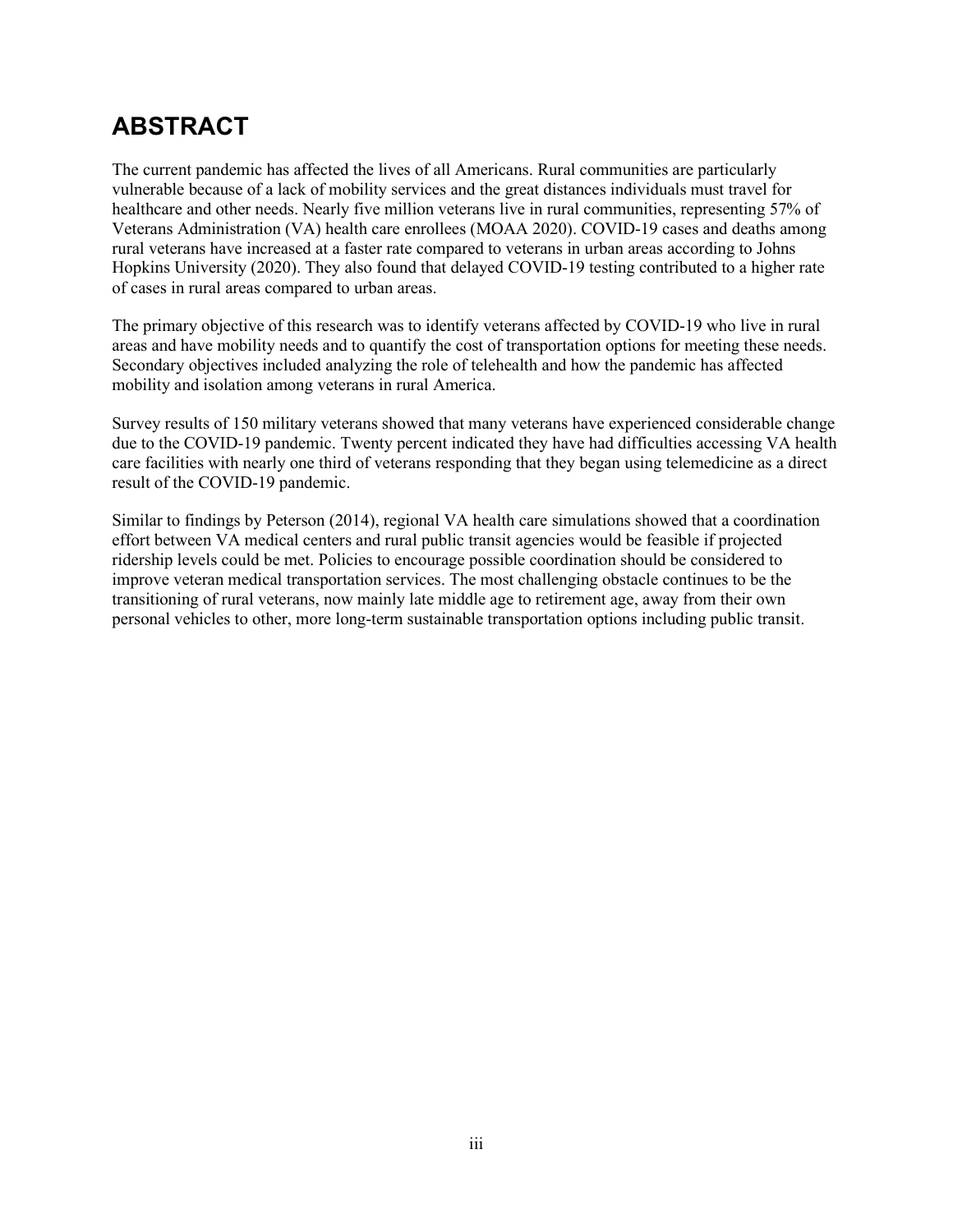# **ABSTRACT**

The current pandemic has affected the lives of all Americans. Rural communities are particularly vulnerable because of a lack of mobility services and the great distances individuals must travel for healthcare and other needs. Nearly five million veterans live in rural communities, representing 57% of Veterans Administration (VA) health care enrollees (MOAA 2020). COVID-19 cases and deaths among rural veterans have increased at a faster rate compared to veterans in urban areas according to Johns Hopkins University (2020). They also found that delayed COVID-19 testing contributed to a higher rate of cases in rural areas compared to urban areas.

The primary objective of this research was to identify veterans affected by COVID-19 who live in rural areas and have mobility needs and to quantify the cost of transportation options for meeting these needs. Secondary objectives included analyzing the role of telehealth and how the pandemic has affected mobility and isolation among veterans in rural America.

Survey results of 150 military veterans showed that many veterans have experienced considerable change due to the COVID-19 pandemic. Twenty percent indicated they have had difficulties accessing VA health care facilities with nearly one third of veterans responding that they began using telemedicine as a direct result of the COVID-19 pandemic.

Similar to findings by Peterson (2014), regional VA health care simulations showed that a coordination effort between VA medical centers and rural public transit agencies would be feasible if projected ridership levels could be met. Policies to encourage possible coordination should be considered to improve veteran medical transportation services. The most challenging obstacle continues to be the transitioning of rural veterans, now mainly late middle age to retirement age, away from their own personal vehicles to other, more long-term sustainable transportation options including public transit.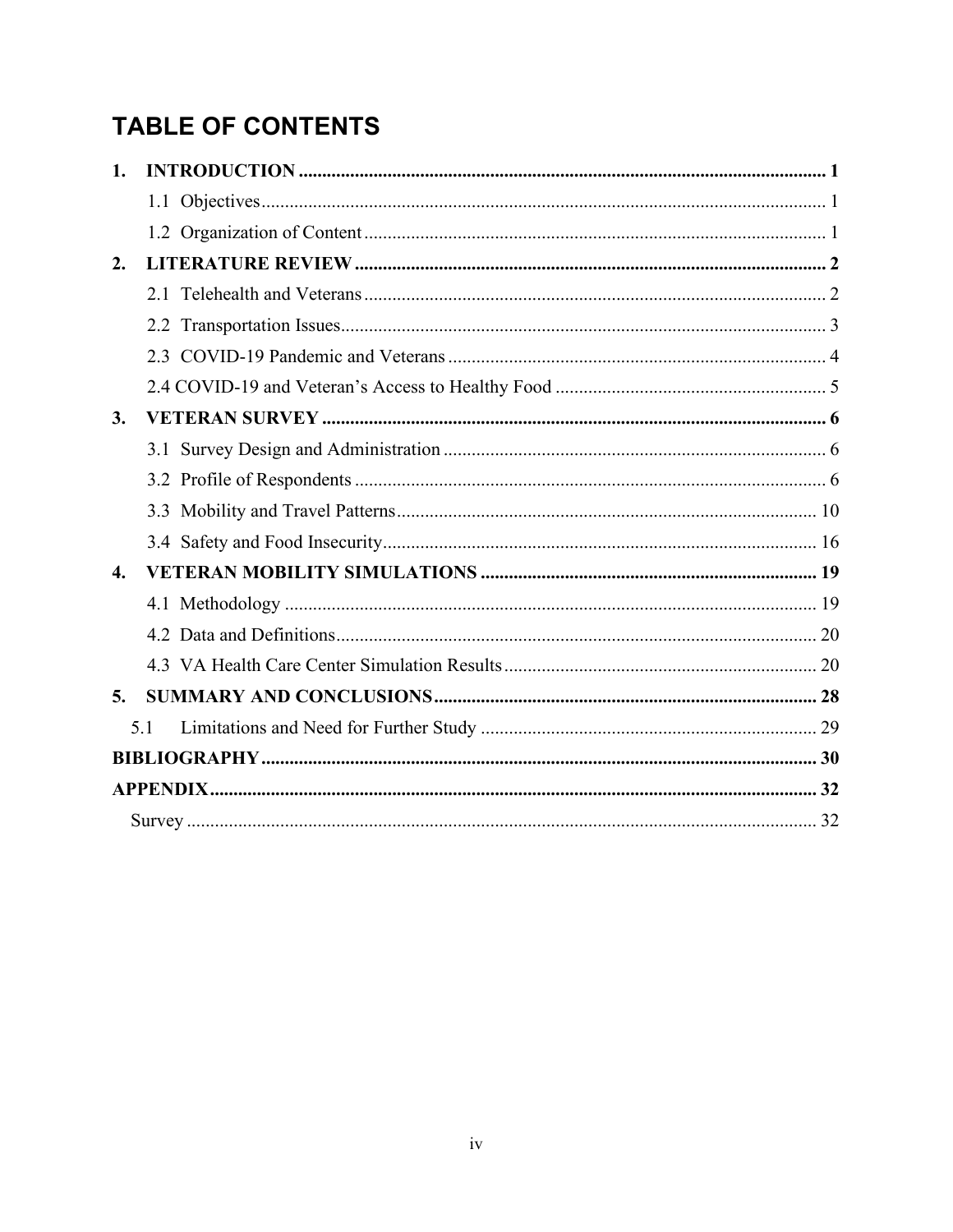# **TABLE OF CONTENTS**

| 1.           |     |  |  |  |
|--------------|-----|--|--|--|
|              |     |  |  |  |
|              |     |  |  |  |
| 2.           |     |  |  |  |
|              |     |  |  |  |
|              |     |  |  |  |
|              |     |  |  |  |
|              |     |  |  |  |
| 3.           |     |  |  |  |
|              |     |  |  |  |
|              |     |  |  |  |
|              |     |  |  |  |
|              |     |  |  |  |
| $\mathbf{4}$ |     |  |  |  |
|              |     |  |  |  |
|              |     |  |  |  |
|              |     |  |  |  |
| 5.           |     |  |  |  |
|              | 5.1 |  |  |  |
|              |     |  |  |  |
|              |     |  |  |  |
|              |     |  |  |  |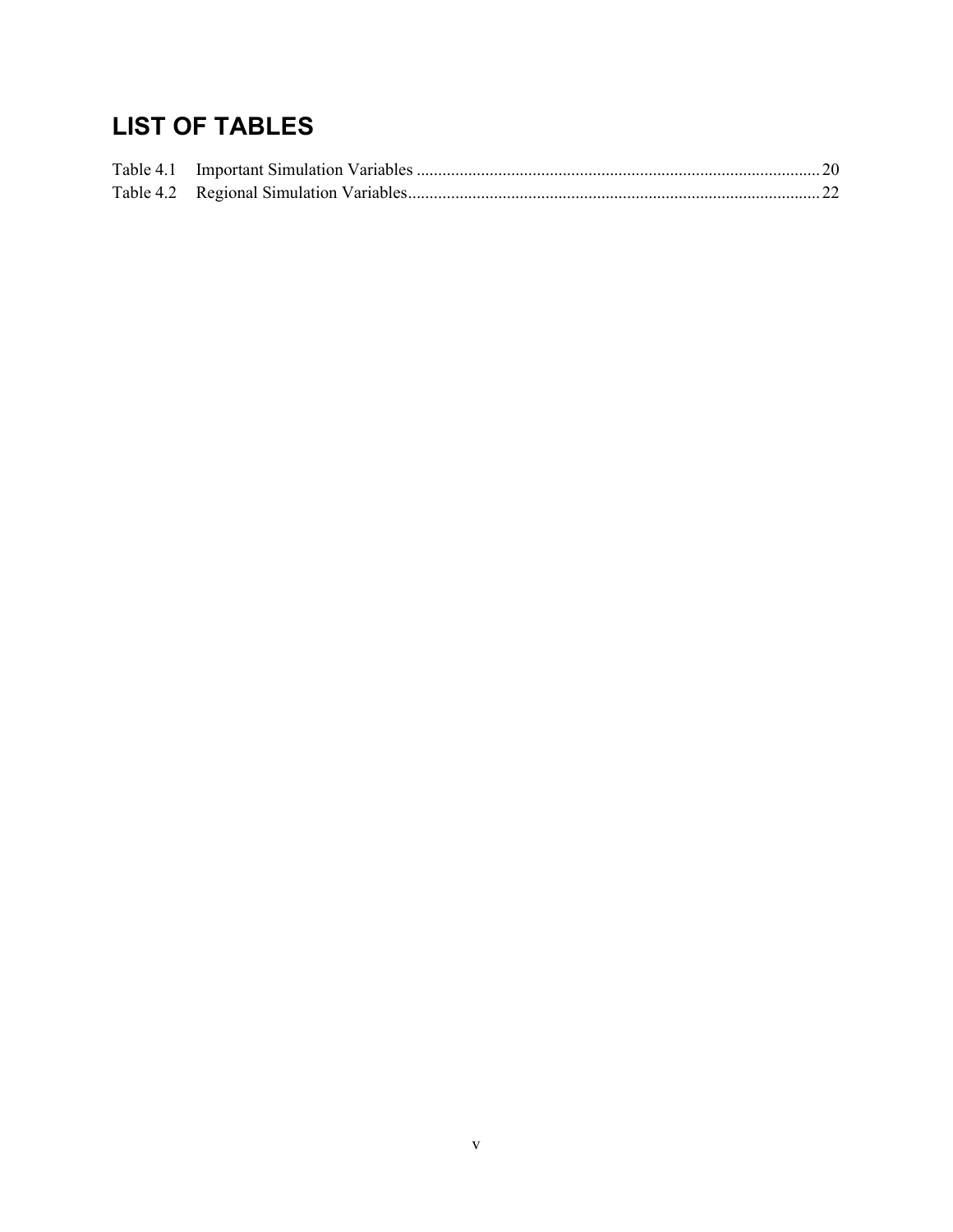# **LIST OF TABLES**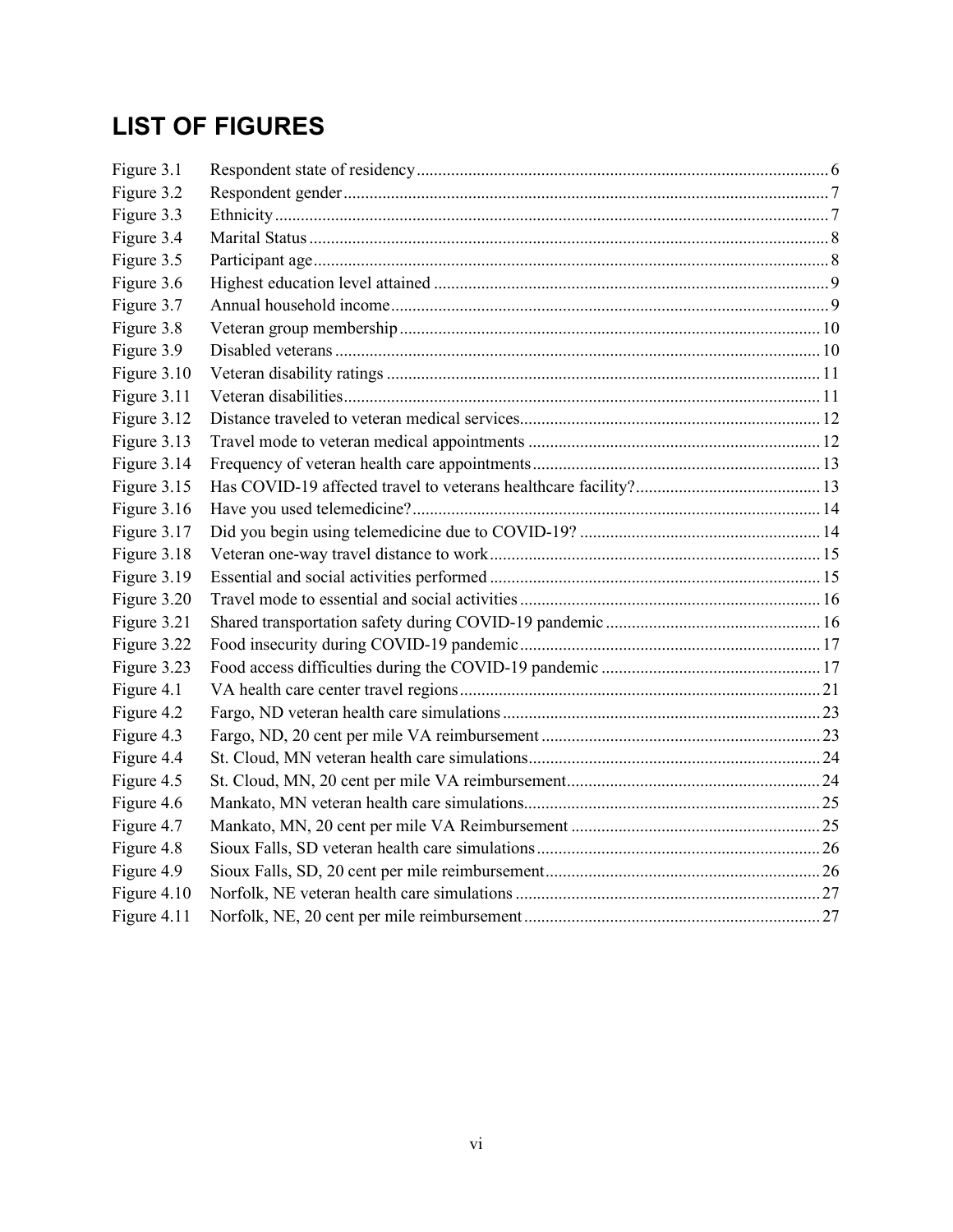# **LIST OF FIGURES**

| Figure 3.1  |  |
|-------------|--|
| Figure 3.2  |  |
| Figure 3.3  |  |
| Figure 3.4  |  |
| Figure 3.5  |  |
| Figure 3.6  |  |
| Figure 3.7  |  |
| Figure 3.8  |  |
| Figure 3.9  |  |
| Figure 3.10 |  |
| Figure 3.11 |  |
| Figure 3.12 |  |
| Figure 3.13 |  |
| Figure 3.14 |  |
| Figure 3.15 |  |
| Figure 3.16 |  |
| Figure 3.17 |  |
| Figure 3.18 |  |
| Figure 3.19 |  |
| Figure 3.20 |  |
| Figure 3.21 |  |
| Figure 3.22 |  |
| Figure 3.23 |  |
| Figure 4.1  |  |
| Figure 4.2  |  |
| Figure 4.3  |  |
| Figure 4.4  |  |
| Figure 4.5  |  |
| Figure 4.6  |  |
| Figure 4.7  |  |
| Figure 4.8  |  |
| Figure 4.9  |  |
| Figure 4.10 |  |
| Figure 4.11 |  |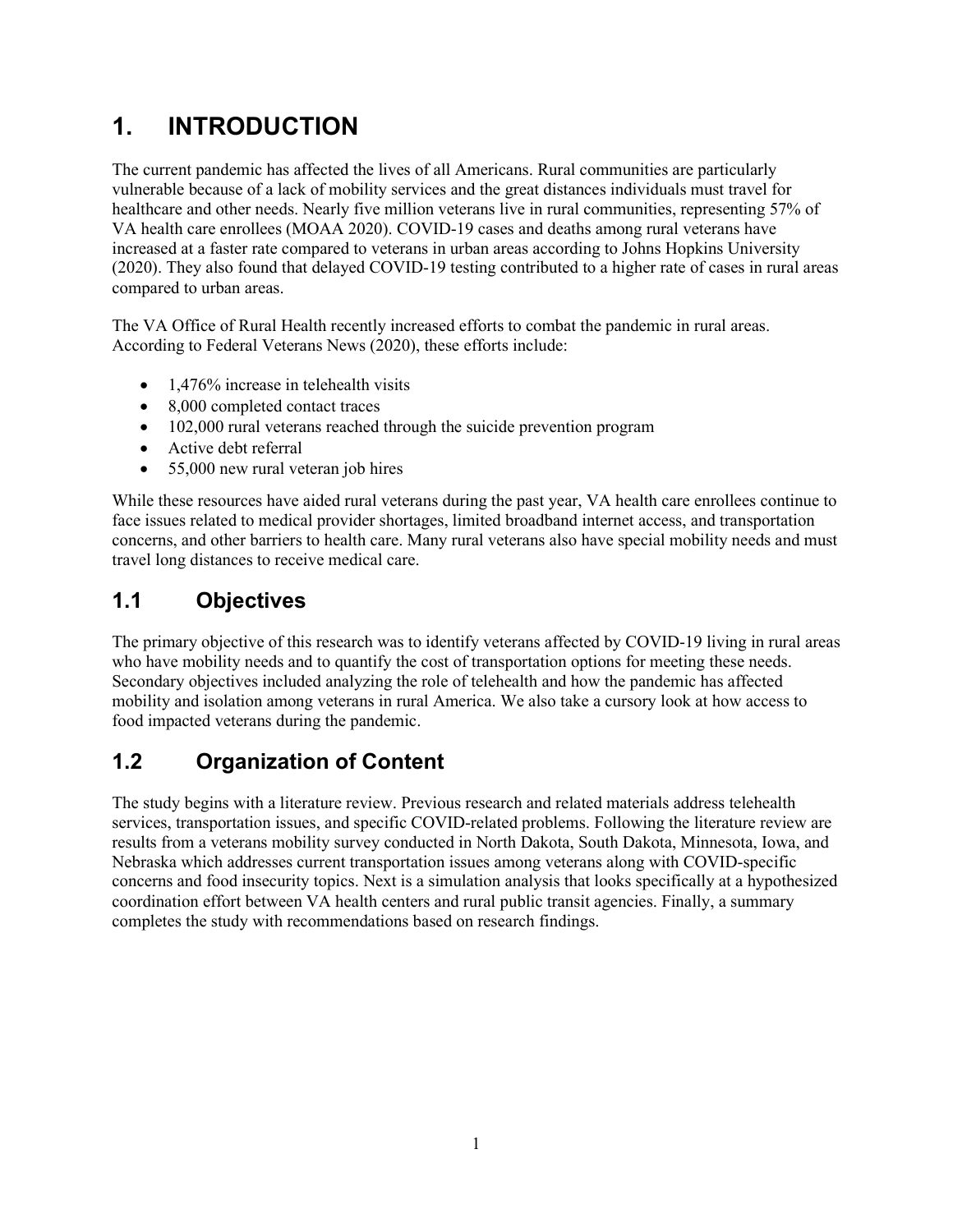# <span id="page-6-0"></span>**1. INTRODUCTION**

The current pandemic has affected the lives of all Americans. Rural communities are particularly vulnerable because of a lack of mobility services and the great distances individuals must travel for healthcare and other needs. Nearly five million veterans live in rural communities, representing 57% of VA health care enrollees (MOAA 2020). COVID-19 cases and deaths among rural veterans have increased at a faster rate compared to veterans in urban areas according to Johns Hopkins University (2020). They also found that delayed COVID-19 testing contributed to a higher rate of cases in rural areas compared to urban areas.

The VA Office of Rural Health recently increased efforts to combat the pandemic in rural areas. According to Federal Veterans News (2020), these efforts include:

- 1,476% increase in telehealth visits
- 8,000 completed contact traces
- 102,000 rural veterans reached through the suicide prevention program
- Active debt referral
- 55,000 new rural veteran job hires

While these resources have aided rural veterans during the past year, VA health care enrollees continue to face issues related to medical provider shortages, limited broadband internet access, and transportation concerns, and other barriers to health care. Many rural veterans also have special mobility needs and must travel long distances to receive medical care.

### <span id="page-6-1"></span>**1.1 Objectives**

The primary objective of this research was to identify veterans affected by COVID-19 living in rural areas who have mobility needs and to quantify the cost of transportation options for meeting these needs. Secondary objectives included analyzing the role of telehealth and how the pandemic has affected mobility and isolation among veterans in rural America. We also take a cursory look at how access to food impacted veterans during the pandemic.

### <span id="page-6-2"></span>**1.2 Organization of Content**

<span id="page-6-3"></span>The study begins with a literature review. Previous research and related materials address telehealth services, transportation issues, and specific COVID-related problems. Following the literature review are results from a veterans mobility survey conducted in North Dakota, South Dakota, Minnesota, Iowa, and Nebraska which addresses current transportation issues among veterans along with COVID-specific concerns and food insecurity topics. Next is a simulation analysis that looks specifically at a hypothesized coordination effort between VA health centers and rural public transit agencies. Finally, a summary completes the study with recommendations based on research findings.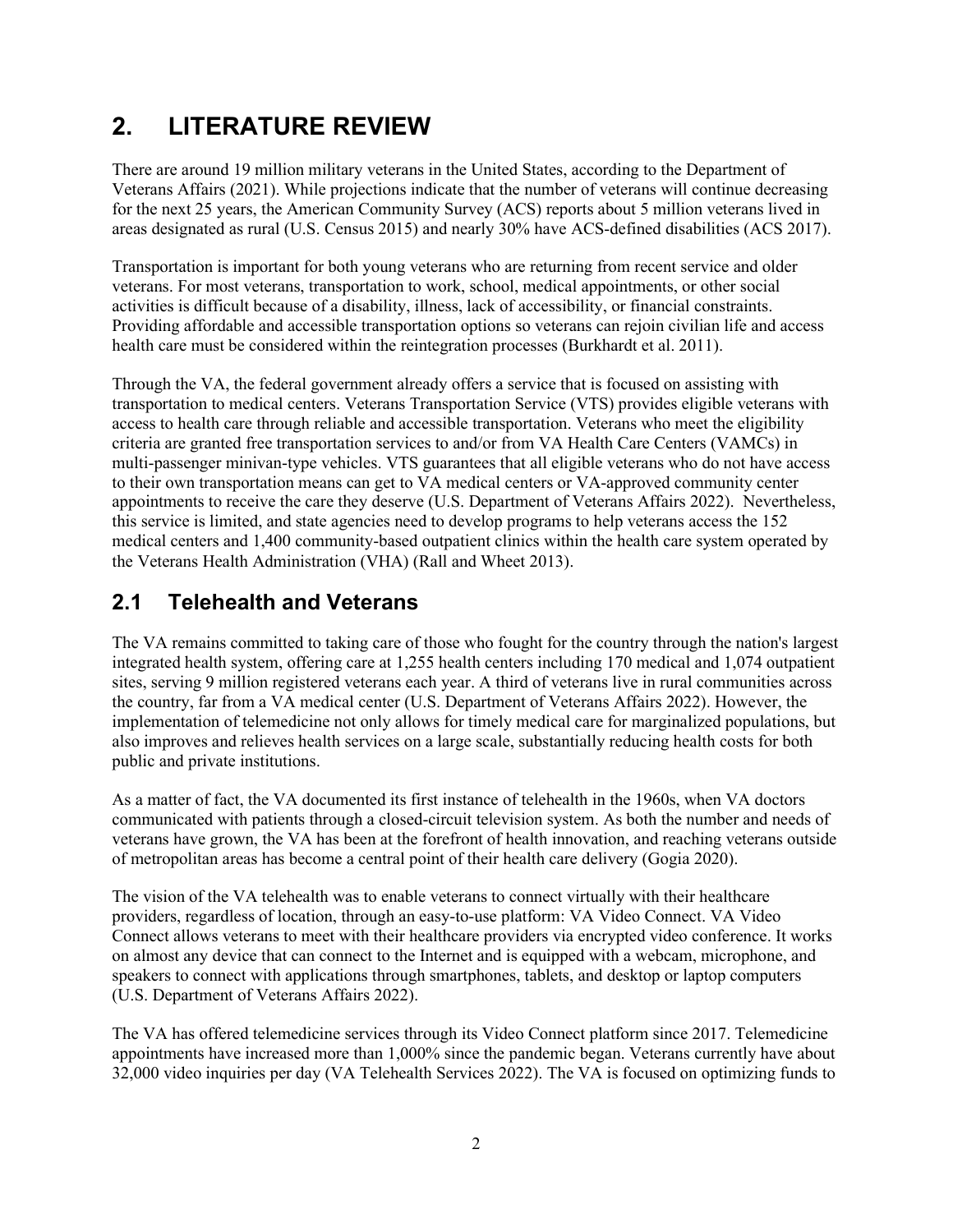# **2. LITERATURE REVIEW**

There are around 19 million military veterans in the United States, according to the Department of Veterans Affairs (2021). While projections indicate that the number of veterans will continue decreasing for the next 25 years, the American Community Survey (ACS) reports about 5 million veterans lived in areas designated as rural (U.S. Census 2015) and nearly 30% have ACS-defined disabilities (ACS 2017).

Transportation is important for both young veterans who are returning from recent service and older veterans. For most veterans, transportation to work, school, medical appointments, or other social activities is difficult because of a disability, illness, lack of accessibility, or financial constraints. Providing affordable and accessible transportation options so veterans can rejoin civilian life and access health care must be considered within the reintegration processes (Burkhardt et al. 2011).

Through the VA, the federal government already offers a service that is focused on assisting with transportation to medical centers. Veterans Transportation Service (VTS) provides eligible veterans with access to health care through reliable and accessible transportation. Veterans who meet the eligibility criteria are granted free transportation services to and/or from VA Health Care Centers (VAMCs) in multi-passenger minivan-type vehicles. VTS guarantees that all eligible veterans who do not have access to their own transportation means can get to VA medical centers or VA-approved community center appointments to receive the care they deserve (U.S. Department of Veterans Affairs 2022). Nevertheless, this service is limited, and state agencies need to develop programs to help veterans access the 152 medical centers and 1,400 community-based outpatient clinics within the health care system operated by the Veterans Health Administration (VHA) (Rall and Wheet 2013).

### <span id="page-7-0"></span>**2.1 Telehealth and Veterans**

The VA remains committed to taking care of those who fought for the country through the nation's largest integrated health system, offering care at 1,255 health centers including 170 medical and 1,074 outpatient sites, serving 9 million registered veterans each year. A third of veterans live in rural communities across the country, far from a VA medical center (U.S. Department of Veterans Affairs 2022). However, the implementation of telemedicine not only allows for timely medical care for marginalized populations, but also improves and relieves health services on a large scale, substantially reducing health costs for both public and private institutions.

As a matter of fact, the VA documented its first instance of telehealth in the 1960s, when VA doctors communicated with patients through a closed-circuit television system. As both the number and needs of veterans have grown, the VA has been at the forefront of health innovation, and reaching veterans outside of metropolitan areas has become a central point of their health care delivery (Gogia 2020).

The vision of the VA telehealth was to enable veterans to connect virtually with their healthcare providers, regardless of location, through an easy-to-use platform: VA Video Connect. VA Video Connect allows veterans to meet with their healthcare providers via encrypted video conference. It works on almost any device that can connect to the Internet and is equipped with a webcam, microphone, and speakers to connect with applications through smartphones, tablets, and desktop or laptop computers (U.S. Department of Veterans Affairs 2022).

The VA has offered telemedicine services through its Video Connect platform since 2017. Telemedicine appointments have increased more than 1,000% since the pandemic began. Veterans currently have about 32,000 video inquiries per day (VA Telehealth Services 2022). The VA is focused on optimizing funds to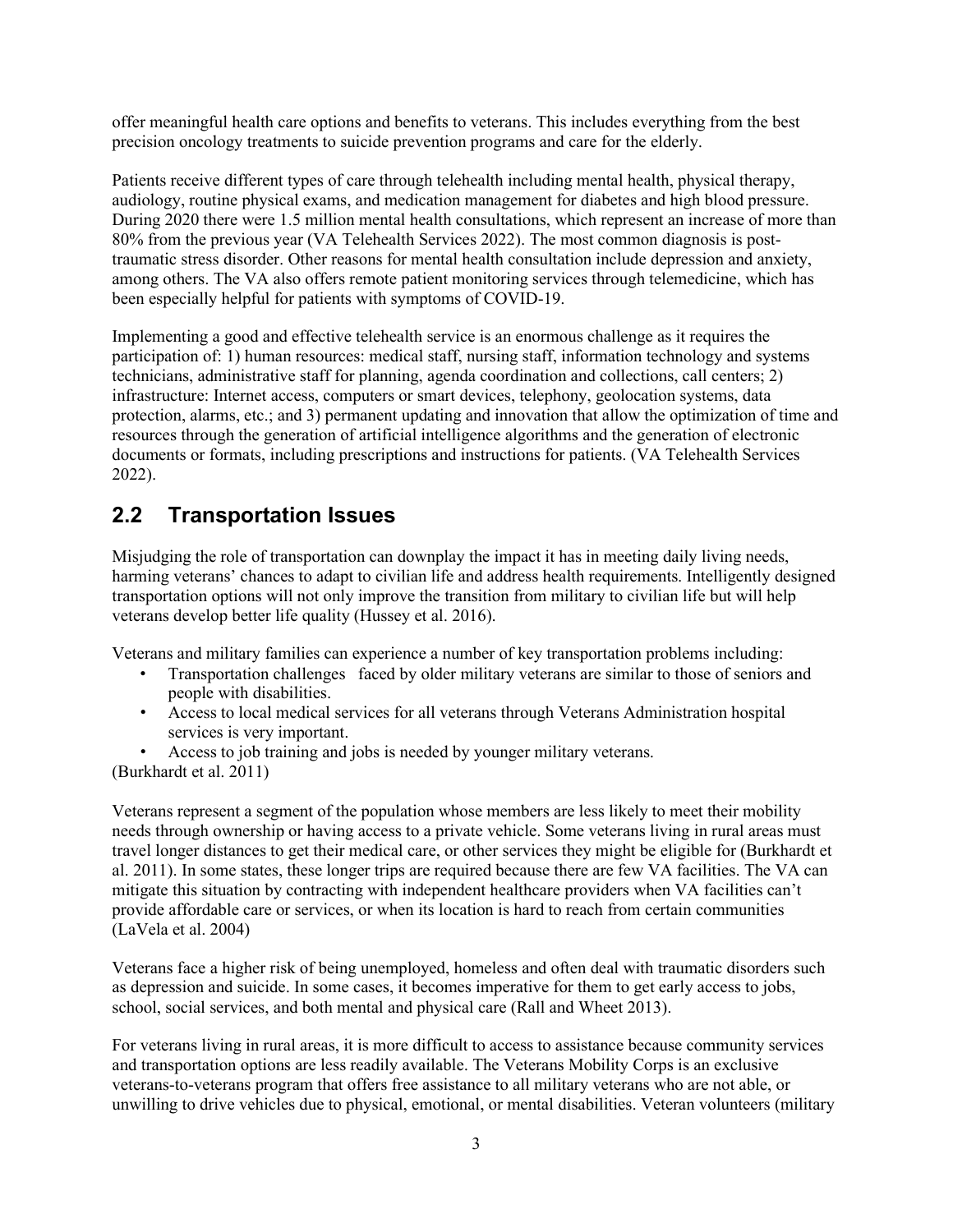offer meaningful health care options and benefits to veterans. This includes everything from the best precision oncology treatments to suicide prevention programs and care for the elderly.

Patients receive different types of care through telehealth including mental health, physical therapy, audiology, routine physical exams, and medication management for diabetes and high blood pressure. During 2020 there were 1.5 million mental health consultations, which represent an increase of more than 80% from the previous year (VA Telehealth Services 2022). The most common diagnosis is posttraumatic stress disorder. Other reasons for mental health consultation include depression and anxiety, among others. The VA also offers remote patient monitoring services through telemedicine, which has been especially helpful for patients with symptoms of COVID-19.

Implementing a good and effective telehealth service is an enormous challenge as it requires the participation of: 1) human resources: medical staff, nursing staff, information technology and systems technicians, administrative staff for planning, agenda coordination and collections, call centers; 2) infrastructure: Internet access, computers or smart devices, telephony, geolocation systems, data protection, alarms, etc.; and 3) permanent updating and innovation that allow the optimization of time and resources through the generation of artificial intelligence algorithms and the generation of electronic documents or formats, including prescriptions and instructions for patients. (VA Telehealth Services 2022).

### <span id="page-8-0"></span>**2.2 Transportation Issues**

Misjudging the role of transportation can downplay the impact it has in meeting daily living needs, harming veterans' chances to adapt to civilian life and address health requirements. Intelligently designed transportation options will not only improve the transition from military to civilian life but will help veterans develop better life quality (Hussey et al. 2016).

Veterans and military families can experience a number of key transportation problems including:

- Transportation challenges faced by older military veterans are similar to those of seniors and people with disabilities.
- Access to local medical services for all veterans through Veterans Administration hospital services is very important.

• Access to job training and jobs is needed by younger military veterans. (Burkhardt et al. 2011)

Veterans represent a segment of the population whose members are less likely to meet their mobility needs through ownership or having access to a private vehicle. Some veterans living in rural areas must travel longer distances to get their medical care, or other services they might be eligible for (Burkhardt et al. 2011). In some states, these longer trips are required because there are few VA facilities. The VA can mitigate this situation by contracting with independent healthcare providers when VA facilities can't provide affordable care or services, or when its location is hard to reach from certain communities (LaVela et al. 2004)

Veterans face a higher risk of being unemployed, homeless and often deal with traumatic disorders such as depression and suicide. In some cases, it becomes imperative for them to get early access to jobs, school, social services, and both mental and physical care (Rall and Wheet 2013).

For veterans living in rural areas, it is more difficult to access to assistance because community services and transportation options are less readily available. The Veterans Mobility Corps is an exclusive veterans-to-veterans program that offers free assistance to all military veterans who are not able, or unwilling to drive vehicles due to physical, emotional, or mental disabilities. Veteran volunteers (military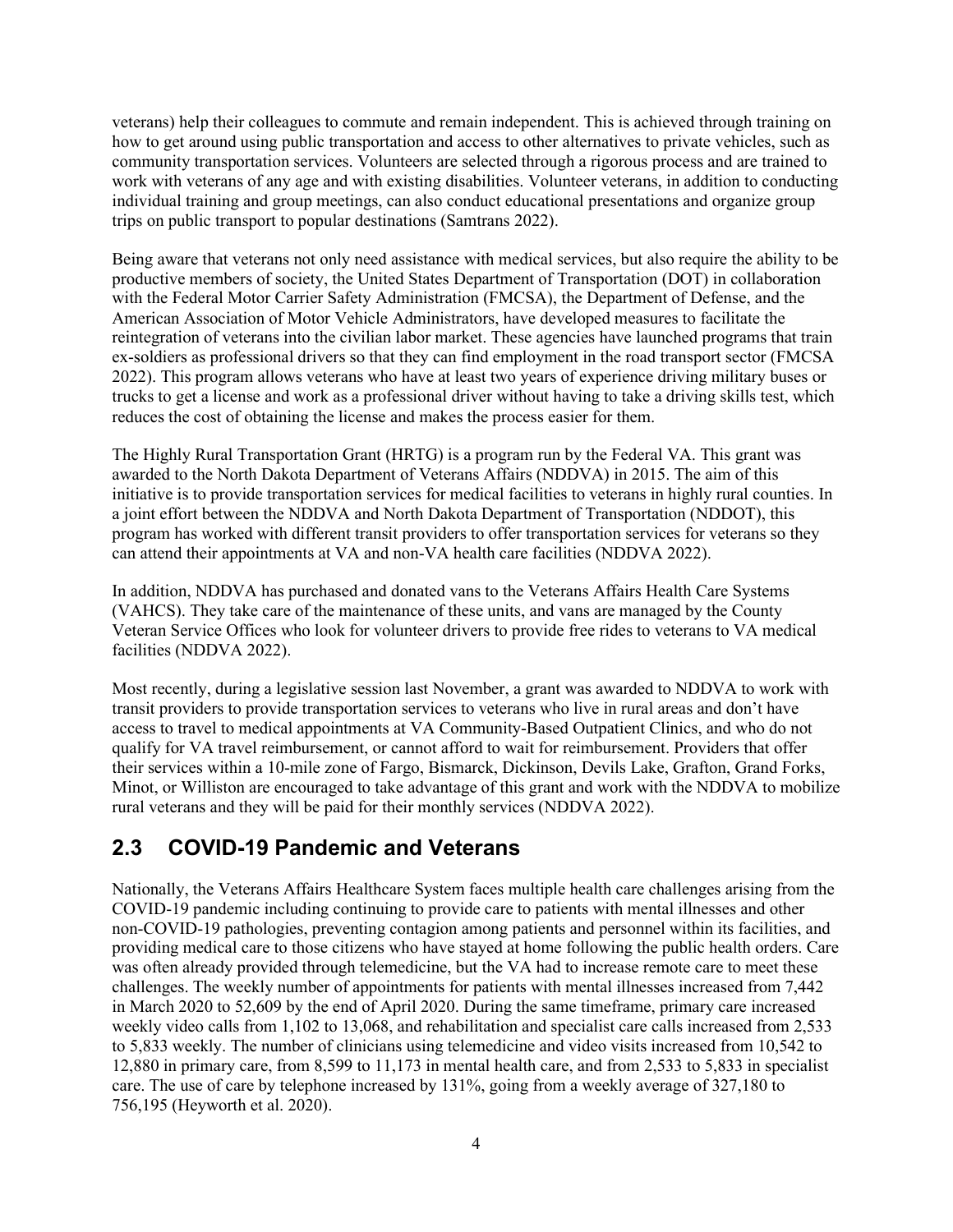veterans) help their colleagues to commute and remain independent. This is achieved through training on how to get around using public transportation and access to other alternatives to private vehicles, such as community transportation services. Volunteers are selected through a rigorous process and are trained to work with veterans of any age and with existing disabilities. Volunteer veterans, in addition to conducting individual training and group meetings, can also conduct educational presentations and organize group trips on public transport to popular destinations (Samtrans 2022).

Being aware that veterans not only need assistance with medical services, but also require the ability to be productive members of society, the United States Department of Transportation (DOT) in collaboration with the Federal Motor Carrier Safety Administration (FMCSA), the Department of Defense, and the American Association of Motor Vehicle Administrators, have developed measures to facilitate the reintegration of veterans into the civilian labor market. These agencies have launched programs that train ex-soldiers as professional drivers so that they can find employment in the road transport sector (FMCSA 2022). This program allows veterans who have at least two years of experience driving military buses or trucks to get a license and work as a professional driver without having to take a driving skills test, which reduces the cost of obtaining the license and makes the process easier for them.

The Highly Rural Transportation Grant (HRTG) is a program run by the Federal VA. This grant was awarded to the North Dakota Department of Veterans Affairs (NDDVA) in 2015. The aim of this initiative is to provide transportation services for medical facilities to veterans in highly rural counties. In a joint effort between the NDDVA and North Dakota Department of Transportation (NDDOT), this program has worked with different transit providers to offer transportation services for veterans so they can attend their appointments at VA and non-VA health care facilities (NDDVA 2022).

In addition, NDDVA has purchased and donated vans to the Veterans Affairs Health Care Systems (VAHCS). They take care of the maintenance of these units, and vans are managed by the County Veteran Service Offices who look for volunteer drivers to provide free rides to veterans to VA medical facilities (NDDVA 2022).

Most recently, during a legislative session last November, a grant was awarded to NDDVA to work with transit providers to provide transportation services to veterans who live in rural areas and don't have access to travel to medical appointments at VA Community-Based Outpatient Clinics, and who do not qualify for VA travel reimbursement, or cannot afford to wait for reimbursement. Providers that offer their services within a 10-mile zone of Fargo, Bismarck, Dickinson, Devils Lake, Grafton, Grand Forks, Minot, or Williston are encouraged to take advantage of this grant and work with the NDDVA to mobilize rural veterans and they will be paid for their monthly services (NDDVA 2022).

#### <span id="page-9-0"></span>**2.3 COVID-19 Pandemic and Veterans**

Nationally, the Veterans Affairs Healthcare System faces multiple health care challenges arising from the COVID-19 pandemic including continuing to provide care to patients with mental illnesses and other non-COVID-19 pathologies, preventing contagion among patients and personnel within its facilities, and providing medical care to those citizens who have stayed at home following the public health orders. Care was often already provided through telemedicine, but the VA had to increase remote care to meet these challenges. The weekly number of appointments for patients with mental illnesses increased from 7,442 in March 2020 to 52,609 by the end of April 2020. During the same timeframe, primary care increased weekly video calls from 1,102 to 13,068, and rehabilitation and specialist care calls increased from 2,533 to 5,833 weekly. The number of clinicians using telemedicine and video visits increased from 10,542 to 12,880 in primary care, from 8,599 to 11,173 in mental health care, and from 2,533 to 5,833 in specialist care. The use of care by telephone increased by 131%, going from a weekly average of 327,180 to 756,195 (Heyworth et al. 2020).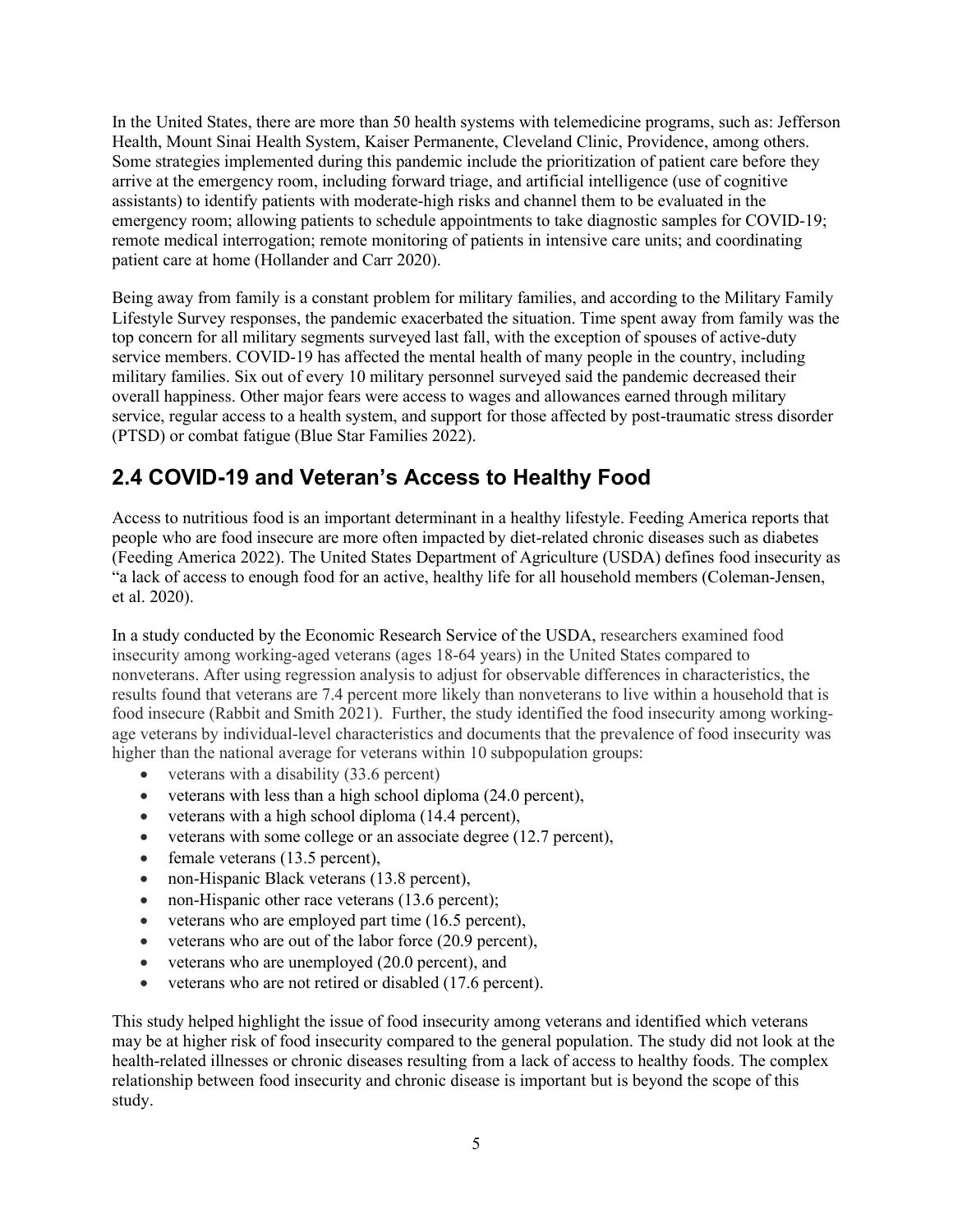In the United States, there are more than 50 health systems with telemedicine programs, such as: Jefferson Health, Mount Sinai Health System, Kaiser Permanente, Cleveland Clinic, Providence, among others. Some strategies implemented during this pandemic include the prioritization of patient care before they arrive at the emergency room, including forward triage, and artificial intelligence (use of cognitive assistants) to identify patients with moderate-high risks and channel them to be evaluated in the emergency room; allowing patients to schedule appointments to take diagnostic samples for COVID-19; remote medical interrogation; remote monitoring of patients in intensive care units; and coordinating patient care at home (Hollander and Carr 2020).

Being away from family is a constant problem for military families, and according to the Military Family Lifestyle Survey responses, the pandemic exacerbated the situation. Time spent away from family was the top concern for all military segments surveyed last fall, with the exception of spouses of active-duty service members. COVID-19 has affected the mental health of many people in the country, including military families. Six out of every 10 military personnel surveyed said the pandemic decreased their overall happiness. Other major fears were access to wages and allowances earned through military service, regular access to a health system, and support for those affected by post-traumatic stress disorder (PTSD) or combat fatigue (Blue Star Families 2022).

### <span id="page-10-0"></span>**2.4 COVID-19 and Veteran's Access to Healthy Food**

Access to nutritious food is an important determinant in a healthy lifestyle. Feeding America reports that people who are food insecure are more often impacted by diet-related chronic diseases such as diabetes (Feeding America 2022). The United States Department of Agriculture (USDA) defines food insecurity as "a lack of access to enough food for an active, healthy life for all household members (Coleman-Jensen, et al. 2020).

In a study conducted by the Economic Research Service of the USDA, researchers examined food insecurity among working-aged veterans (ages 18-64 years) in the United States compared to nonveterans. After using regression analysis to adjust for observable differences in characteristics, the results found that veterans are 7.4 percent more likely than nonveterans to live within a household that is food insecure (Rabbit and Smith 2021). Further, the study identified the food insecurity among workingage veterans by individual-level characteristics and documents that the prevalence of food insecurity was higher than the national average for veterans within 10 subpopulation groups:

- veterans with a disability (33.6 percent)
- veterans with less than a high school diploma (24.0 percent),
- veterans with a high school diploma (14.4 percent),
- veterans with some college or an associate degree (12.7 percent),
- female veterans (13.5 percent),
- non-Hispanic Black veterans (13.8 percent),
- non-Hispanic other race veterans (13.6 percent);
- veterans who are employed part time (16.5 percent),
- veterans who are out of the labor force (20.9 percent),
- veterans who are unemployed (20.0 percent), and
- veterans who are not retired or disabled (17.6 percent).

This study helped highlight the issue of food insecurity among veterans and identified which veterans may be at higher risk of food insecurity compared to the general population. The study did not look at the health-related illnesses or chronic diseases resulting from a lack of access to healthy foods. The complex relationship between food insecurity and chronic disease is important but is beyond the scope of this study.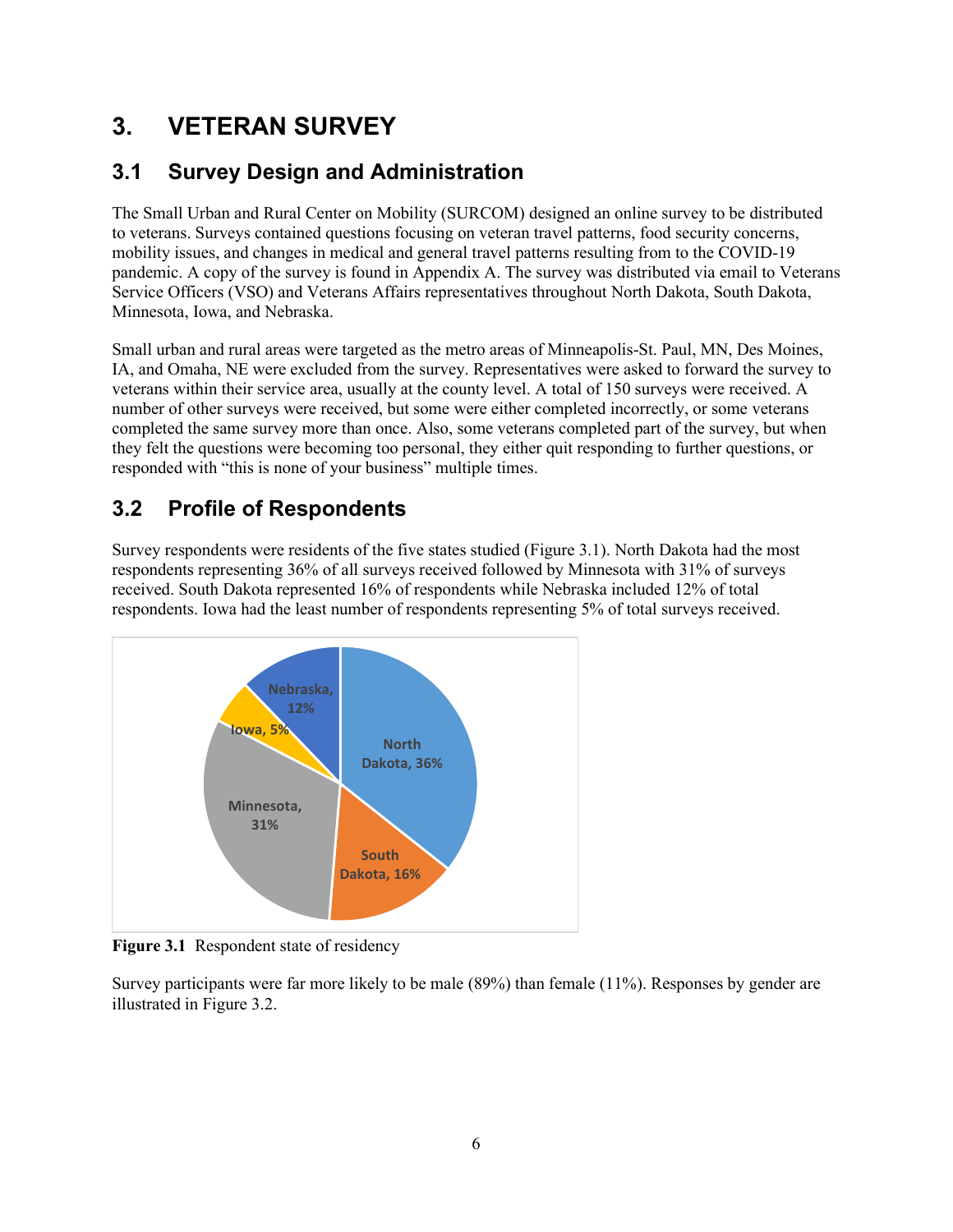# <span id="page-11-0"></span>**3. VETERAN SURVEY**

### <span id="page-11-1"></span>**3.1 Survey Design and Administration**

The Small Urban and Rural Center on Mobility (SURCOM) designed an online survey to be distributed to veterans. Surveys contained questions focusing on veteran travel patterns, food security concerns, mobility issues, and changes in medical and general travel patterns resulting from to the COVID-19 pandemic. A copy of the survey is found in Appendix A. The survey was distributed via email to Veterans Service Officers (VSO) and Veterans Affairs representatives throughout North Dakota, South Dakota, Minnesota, Iowa, and Nebraska.

Small urban and rural areas were targeted as the metro areas of Minneapolis-St. Paul, MN, Des Moines, IA, and Omaha, NE were excluded from the survey. Representatives were asked to forward the survey to veterans within their service area, usually at the county level. A total of 150 surveys were received. A number of other surveys were received, but some were either completed incorrectly, or some veterans completed the same survey more than once. Also, some veterans completed part of the survey, but when they felt the questions were becoming too personal, they either quit responding to further questions, or responded with "this is none of your business" multiple times.

### <span id="page-11-2"></span>**3.2 Profile of Respondents**

Survey respondents were residents of the five states studied (Figure 3.1). North Dakota had the most respondents representing 36% of all surveys received followed by Minnesota with 31% of surveys received. South Dakota represented 16% of respondents while Nebraska included 12% of total respondents. Iowa had the least number of respondents representing 5% of total surveys received.



<span id="page-11-3"></span>**Figure 3.1** Respondent state of residency

Survey participants were far more likely to be male (89%) than female (11%). Responses by gender are illustrated in Figure 3.2.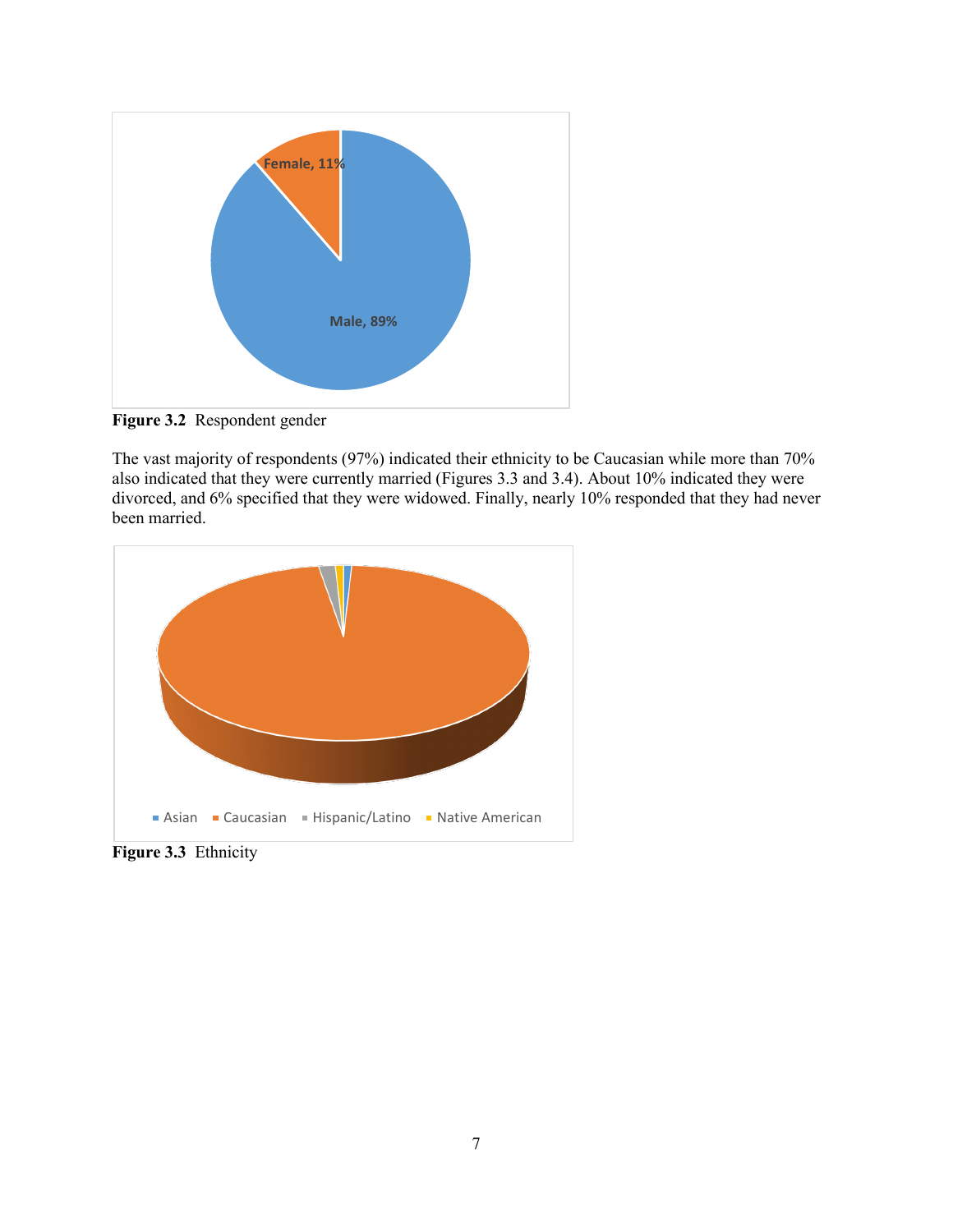

<span id="page-12-0"></span>**Figure 3.2** Respondent gender

The vast majority of respondents (97%) indicated their ethnicity to be Caucasian while more than 70% also indicated that they were currently married (Figures 3.3 and 3.4). About 10% indicated they were divorced, and 6% specified that they were widowed. Finally, nearly 10% responded that they had never been married.



<span id="page-12-1"></span>**Figure 3.3** Ethnicity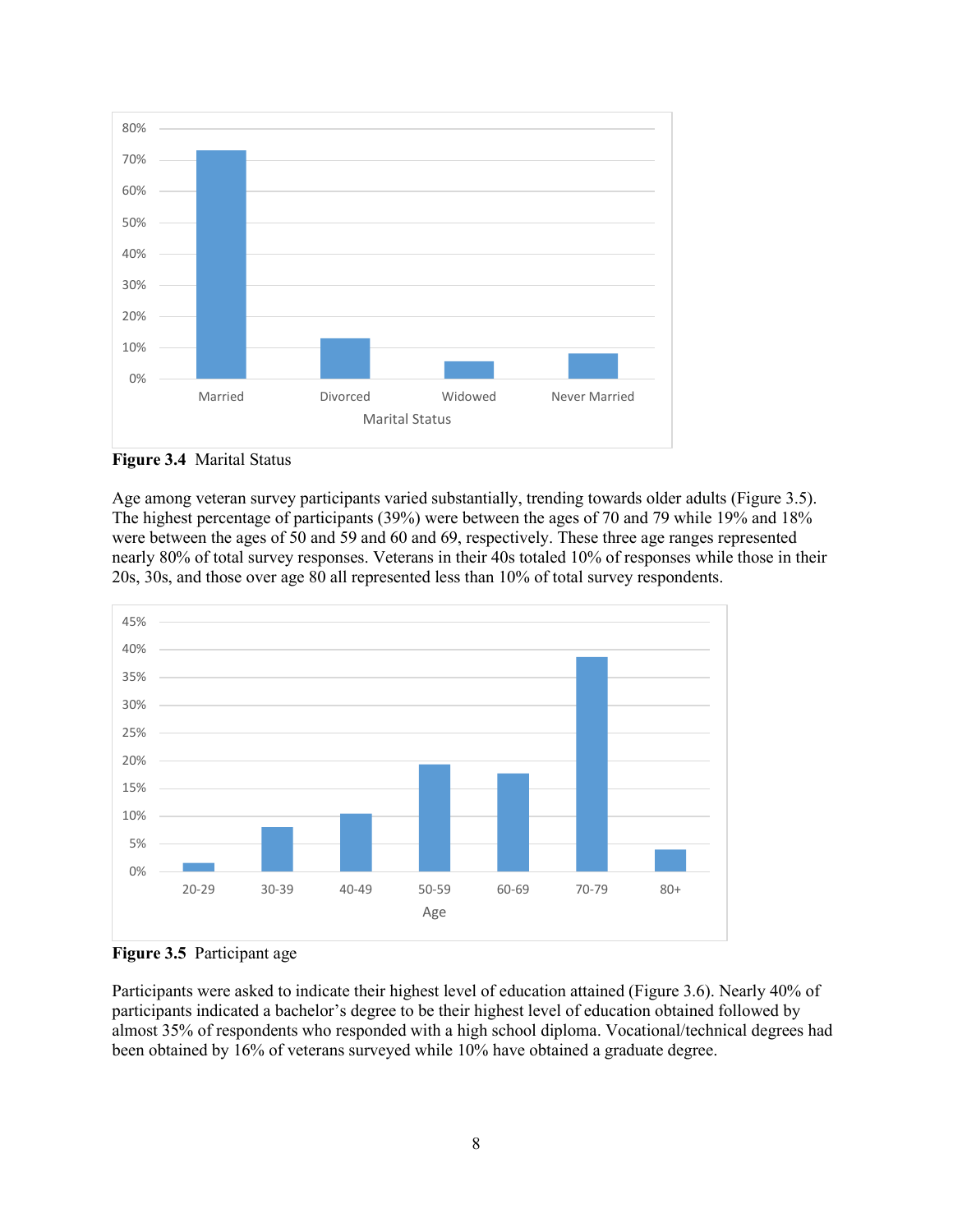

<span id="page-13-0"></span>**Figure 3.4** Marital Status

Age among veteran survey participants varied substantially, trending towards older adults (Figure 3.5). The highest percentage of participants (39%) were between the ages of 70 and 79 while 19% and 18% were between the ages of 50 and 59 and 60 and 69, respectively. These three age ranges represented nearly 80% of total survey responses. Veterans in their 40s totaled 10% of responses while those in their 20s, 30s, and those over age 80 all represented less than 10% of total survey respondents.



<span id="page-13-1"></span>**Figure 3.5** Participant age

Participants were asked to indicate their highest level of education attained (Figure 3.6). Nearly 40% of participants indicated a bachelor's degree to be their highest level of education obtained followed by almost 35% of respondents who responded with a high school diploma. Vocational/technical degrees had been obtained by 16% of veterans surveyed while 10% have obtained a graduate degree.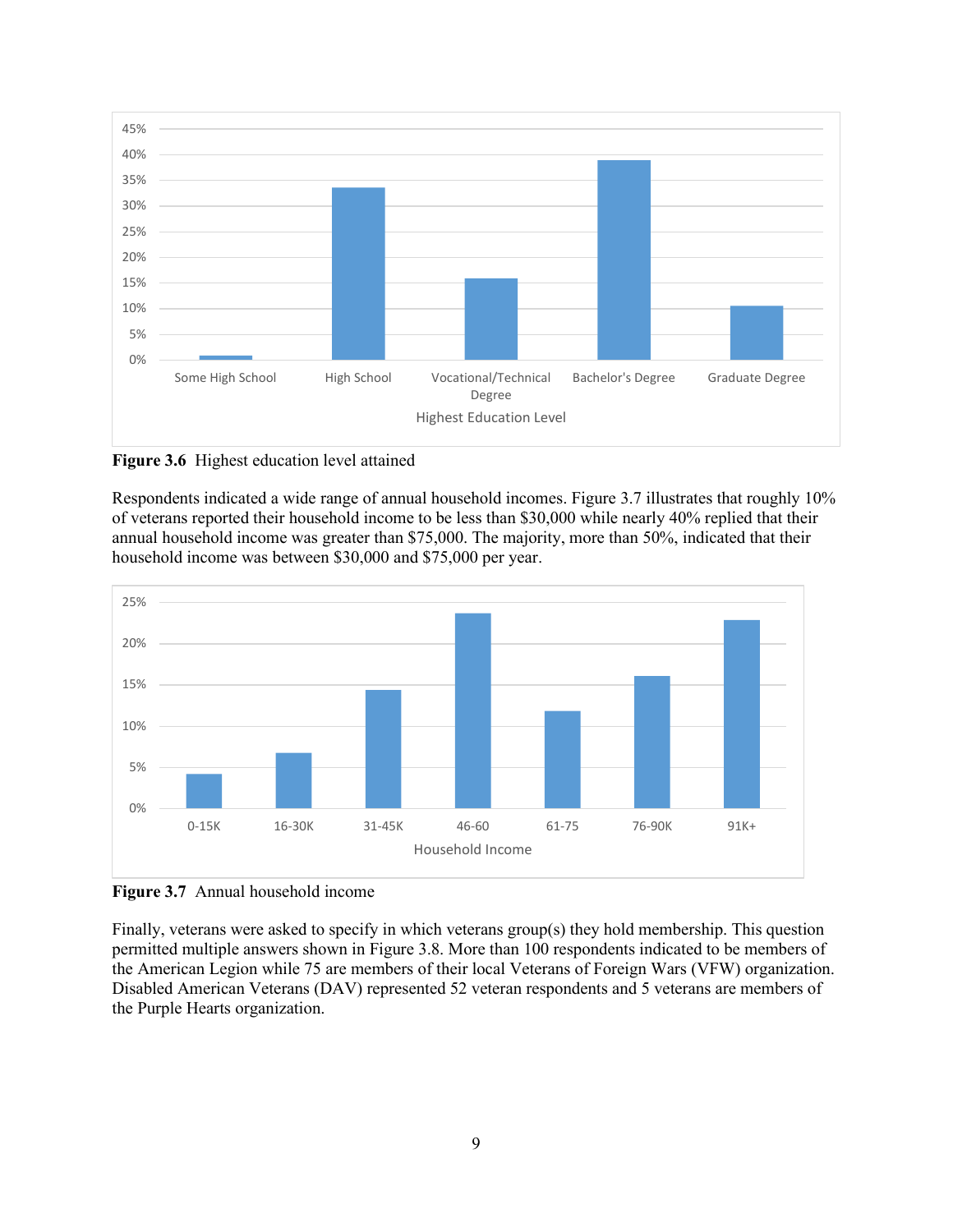

<span id="page-14-0"></span>**Figure 3.6** Highest education level attained

Respondents indicated a wide range of annual household incomes. Figure 3.7 illustrates that roughly 10% of veterans reported their household income to be less than \$30,000 while nearly 40% replied that their annual household income was greater than \$75,000. The majority, more than 50%, indicated that their household income was between \$30,000 and \$75,000 per year.



<span id="page-14-1"></span>**Figure 3.7** Annual household income

Finally, veterans were asked to specify in which veterans group(s) they hold membership. This question permitted multiple answers shown in Figure 3.8. More than 100 respondents indicated to be members of the American Legion while 75 are members of their local Veterans of Foreign Wars (VFW) organization. Disabled American Veterans (DAV) represented 52 veteran respondents and 5 veterans are members of the Purple Hearts organization.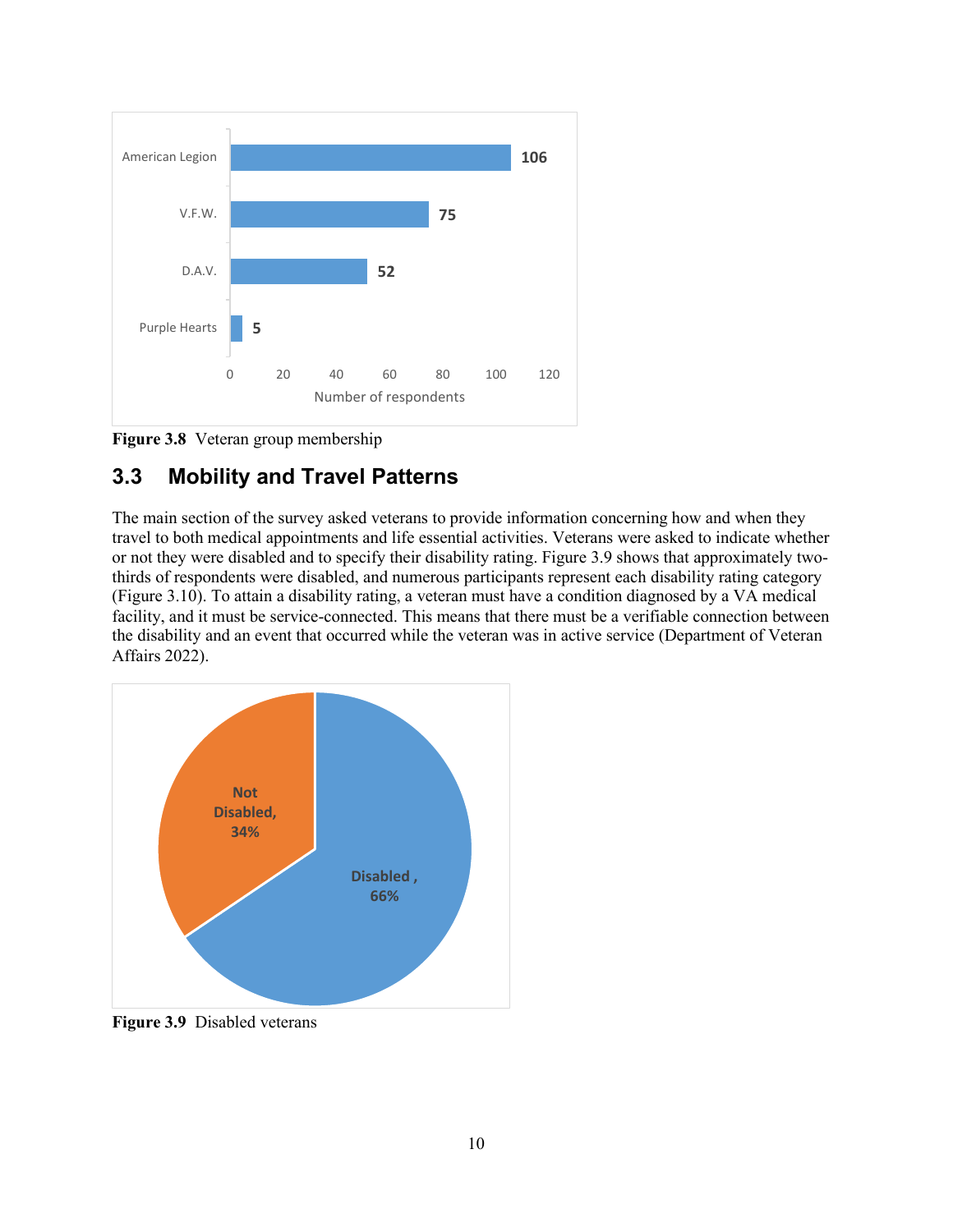

<span id="page-15-1"></span>**Figure 3.8** Veteran group membership

#### <span id="page-15-0"></span>**3.3 Mobility and Travel Patterns**

The main section of the survey asked veterans to provide information concerning how and when they travel to both medical appointments and life essential activities. Veterans were asked to indicate whether or not they were disabled and to specify their disability rating. Figure 3.9 shows that approximately twothirds of respondents were disabled, and numerous participants represent each disability rating category (Figure 3.10). To attain a disability rating, a veteran must have a condition diagnosed by a VA medical facility, and it must be service-connected. This means that there must be a verifiable connection between the disability and an event that occurred while the veteran was in active service (Department of Veteran Affairs 2022).



<span id="page-15-2"></span>**Figure 3.9** Disabled veterans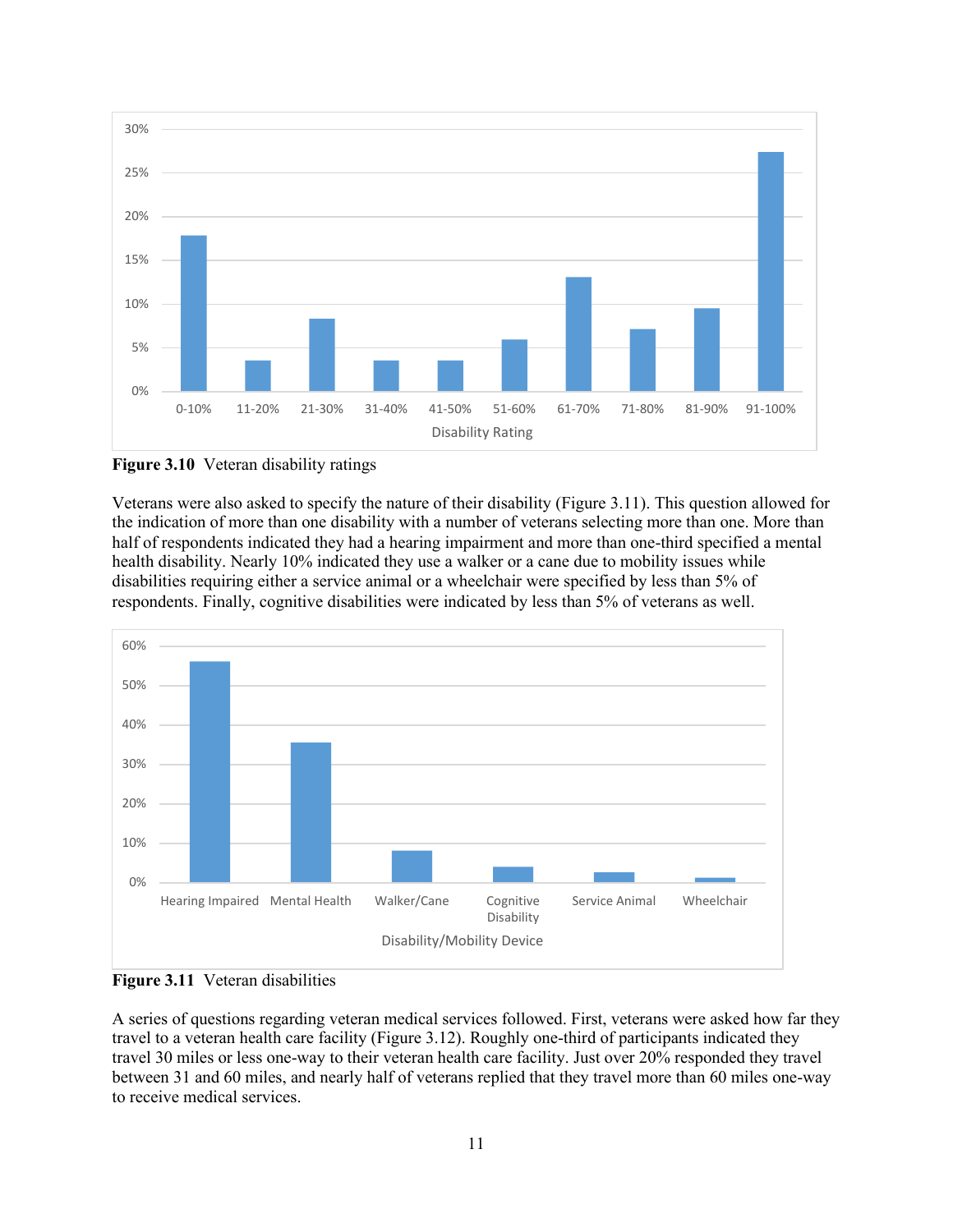

<span id="page-16-0"></span>**Figure 3.10** Veteran disability ratings

Veterans were also asked to specify the nature of their disability (Figure 3.11). This question allowed for the indication of more than one disability with a number of veterans selecting more than one. More than half of respondents indicated they had a hearing impairment and more than one-third specified a mental health disability. Nearly 10% indicated they use a walker or a cane due to mobility issues while disabilities requiring either a service animal or a wheelchair were specified by less than 5% of respondents. Finally, cognitive disabilities were indicated by less than 5% of veterans as well.



<span id="page-16-1"></span>**Figure 3.11** Veteran disabilities

A series of questions regarding veteran medical services followed. First, veterans were asked how far they travel to a veteran health care facility (Figure 3.12). Roughly one-third of participants indicated they travel 30 miles or less one-way to their veteran health care facility. Just over 20% responded they travel between 31 and 60 miles, and nearly half of veterans replied that they travel more than 60 miles one-way to receive medical services.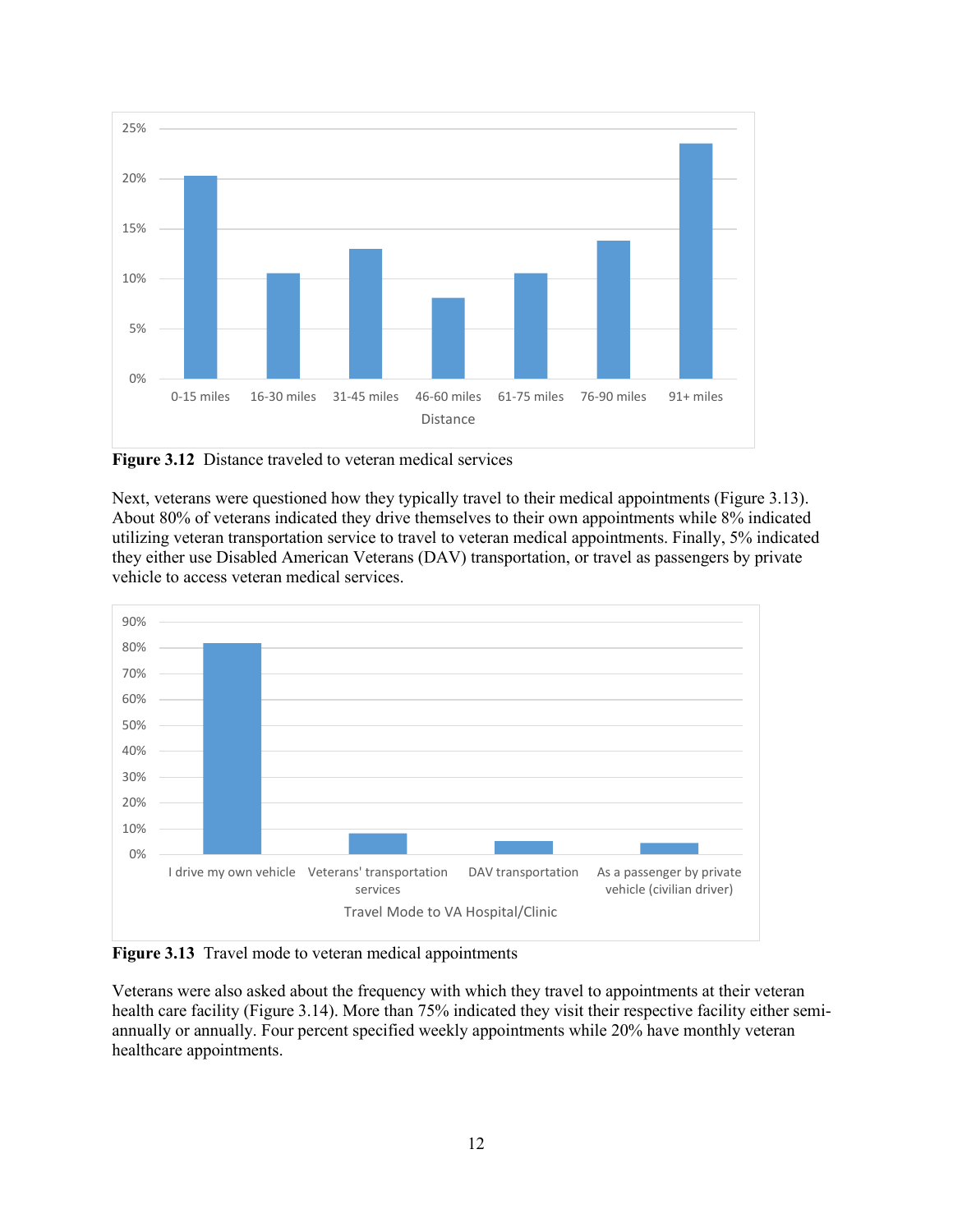

<span id="page-17-0"></span>**Figure 3.12** Distance traveled to veteran medical services

Next, veterans were questioned how they typically travel to their medical appointments (Figure 3.13). About 80% of veterans indicated they drive themselves to their own appointments while 8% indicated utilizing veteran transportation service to travel to veteran medical appointments. Finally, 5% indicated they either use Disabled American Veterans (DAV) transportation, or travel as passengers by private vehicle to access veteran medical services.



<span id="page-17-1"></span>**Figure 3.13** Travel mode to veteran medical appointments

Veterans were also asked about the frequency with which they travel to appointments at their veteran health care facility (Figure 3.14). More than 75% indicated they visit their respective facility either semiannually or annually. Four percent specified weekly appointments while 20% have monthly veteran healthcare appointments.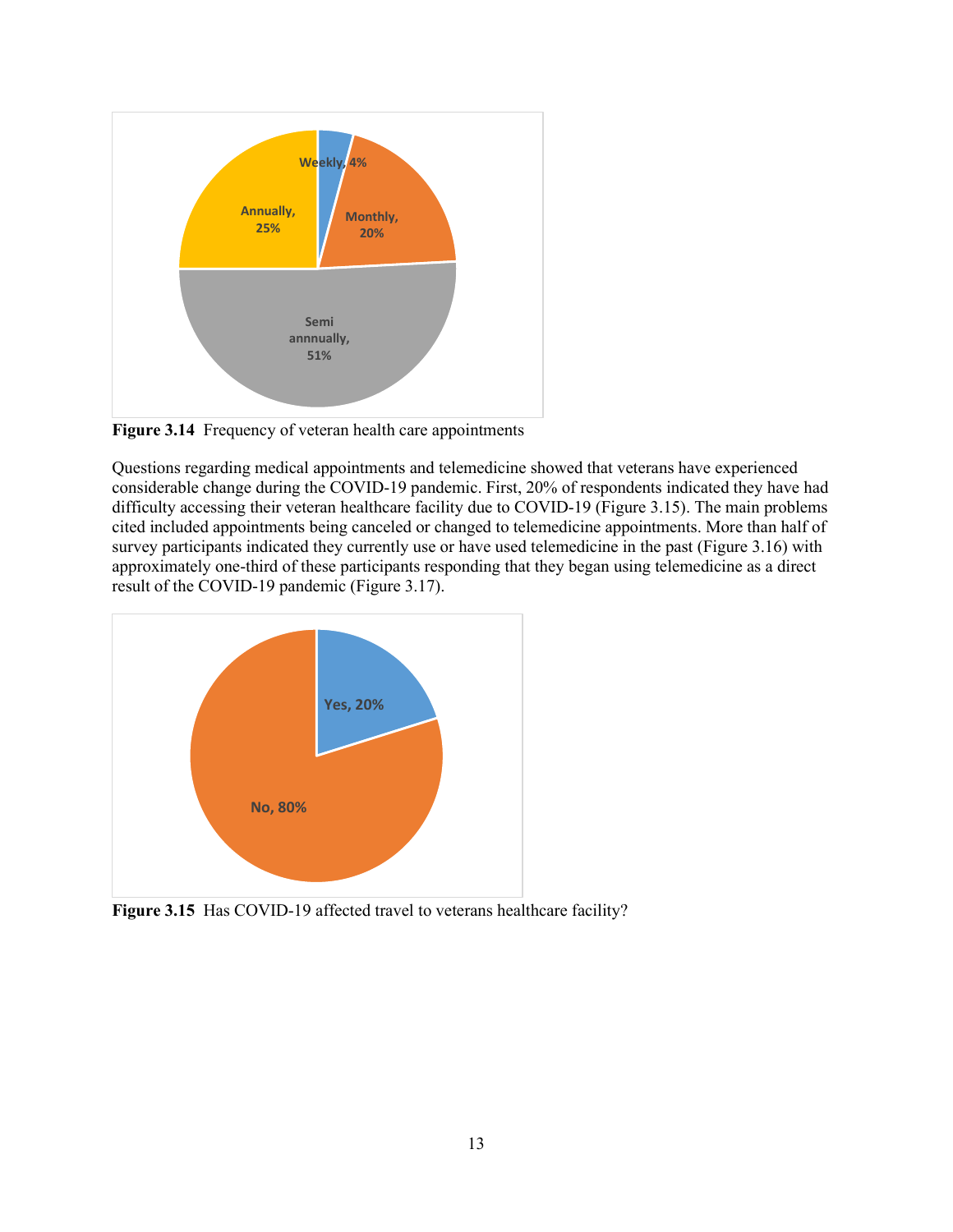

<span id="page-18-0"></span>**Figure 3.14** Frequency of veteran health care appointments

Questions regarding medical appointments and telemedicine showed that veterans have experienced considerable change during the COVID-19 pandemic. First, 20% of respondents indicated they have had difficulty accessing their veteran healthcare facility due to COVID-19 (Figure 3.15). The main problems cited included appointments being canceled or changed to telemedicine appointments. More than half of survey participants indicated they currently use or have used telemedicine in the past (Figure 3.16) with approximately one-third of these participants responding that they began using telemedicine as a direct result of the COVID-19 pandemic (Figure 3.17).



<span id="page-18-1"></span>Figure 3.15 Has COVID-19 affected travel to veterans healthcare facility?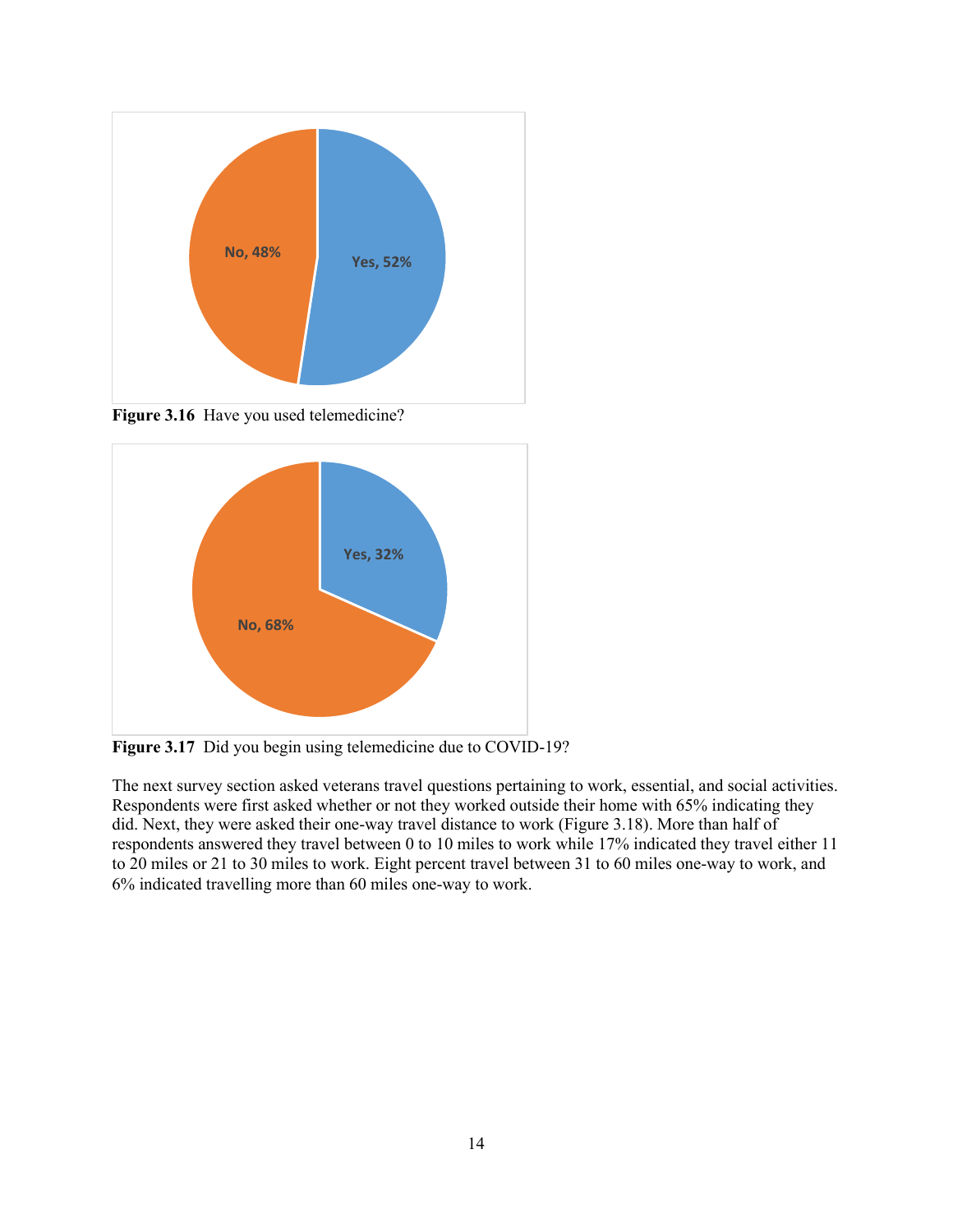

<span id="page-19-0"></span>Figure 3.16 Have you used telemedicine?



<span id="page-19-1"></span>Figure 3.17 Did you begin using telemedicine due to COVID-19?

The next survey section asked veterans travel questions pertaining to work, essential, and social activities. Respondents were first asked whether or not they worked outside their home with 65% indicating they did. Next, they were asked their one-way travel distance to work (Figure 3.18). More than half of respondents answered they travel between 0 to 10 miles to work while 17% indicated they travel either 11 to 20 miles or 21 to 30 miles to work. Eight percent travel between 31 to 60 miles one-way to work, and 6% indicated travelling more than 60 miles one-way to work.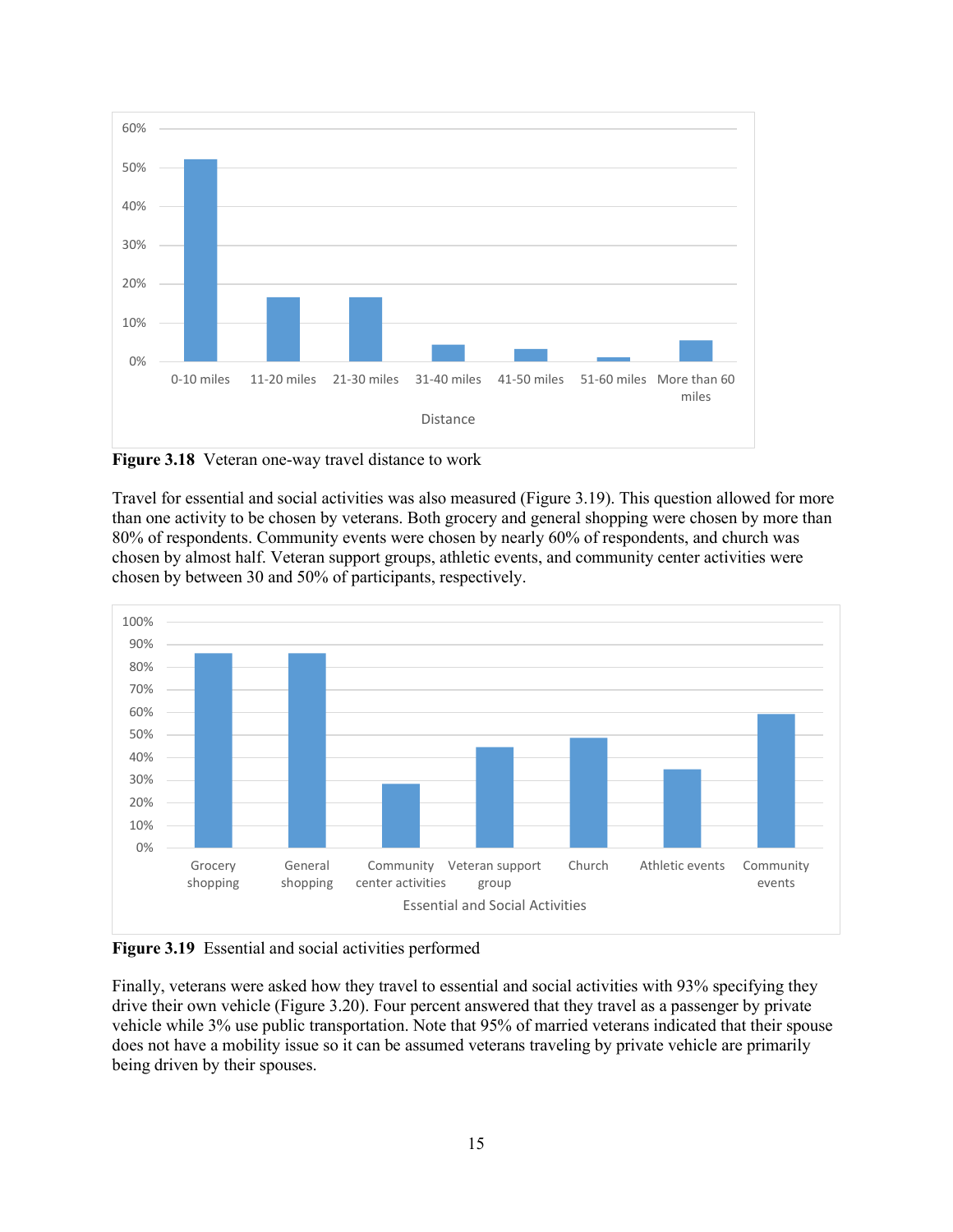

<span id="page-20-0"></span>**Figure 3.18** Veteran one-way travel distance to work

Travel for essential and social activities was also measured (Figure 3.19). This question allowed for more than one activity to be chosen by veterans. Both grocery and general shopping were chosen by more than 80% of respondents. Community events were chosen by nearly 60% of respondents, and church was chosen by almost half. Veteran support groups, athletic events, and community center activities were chosen by between 30 and 50% of participants, respectively.



<span id="page-20-1"></span>**Figure 3.19** Essential and social activities performed

Finally, veterans were asked how they travel to essential and social activities with 93% specifying they drive their own vehicle (Figure 3.20). Four percent answered that they travel as a passenger by private vehicle while 3% use public transportation. Note that 95% of married veterans indicated that their spouse does not have a mobility issue so it can be assumed veterans traveling by private vehicle are primarily being driven by their spouses.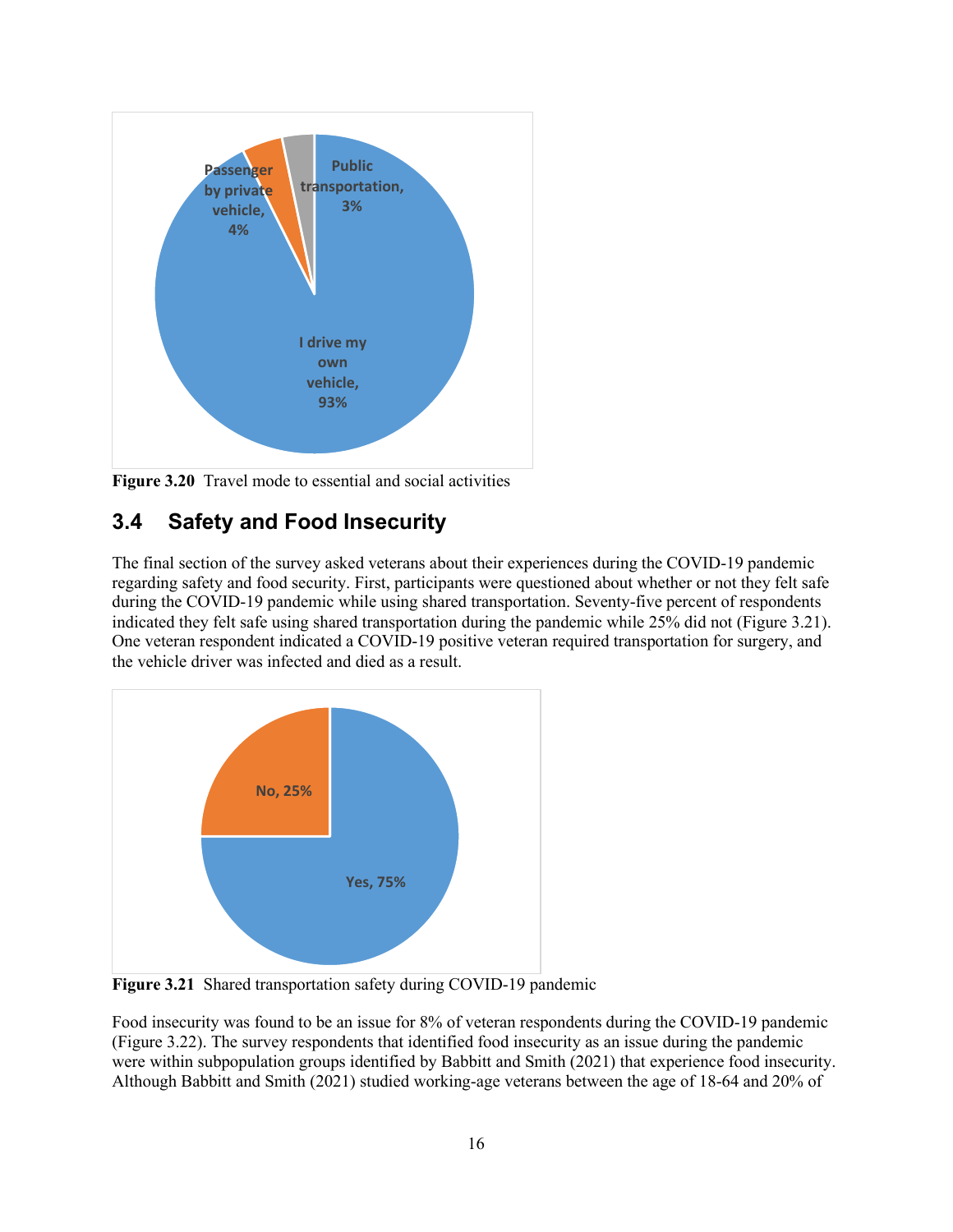

<span id="page-21-1"></span>**Figure 3.20** Travel mode to essential and social activities

### <span id="page-21-0"></span>**3.4 Safety and Food Insecurity**

The final section of the survey asked veterans about their experiences during the COVID-19 pandemic regarding safety and food security. First, participants were questioned about whether or not they felt safe during the COVID-19 pandemic while using shared transportation. Seventy-five percent of respondents indicated they felt safe using shared transportation during the pandemic while 25% did not (Figure 3.21). One veteran respondent indicated a COVID-19 positive veteran required transportation for surgery, and the vehicle driver was infected and died as a result.



<span id="page-21-2"></span>**Figure 3.21** Shared transportation safety during COVID-19 pandemic

Food insecurity was found to be an issue for 8% of veteran respondents during the COVID-19 pandemic (Figure 3.22). The survey respondents that identified food insecurity as an issue during the pandemic were within subpopulation groups identified by Babbitt and Smith (2021) that experience food insecurity. Although Babbitt and Smith (2021) studied working-age veterans between the age of 18-64 and 20% of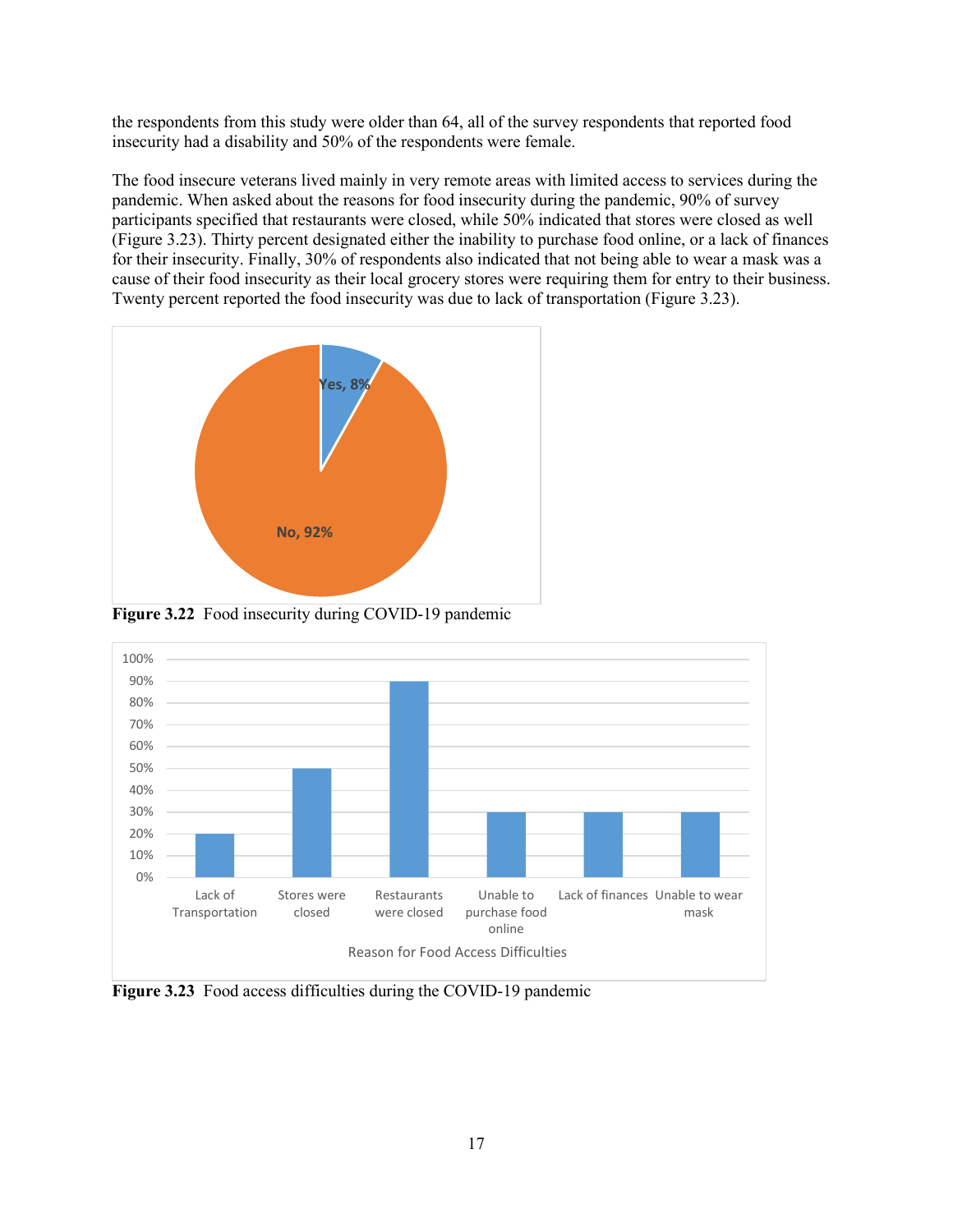the respondents from this study were older than 64, all of the survey respondents that reported food insecurity had a disability and 50% of the respondents were female.

The food insecure veterans lived mainly in very remote areas with limited access to services during the pandemic. When asked about the reasons for food insecurity during the pandemic, 90% of survey participants specified that restaurants were closed, while 50% indicated that stores were closed as well (Figure 3.23). Thirty percent designated either the inability to purchase food online, or a lack of finances for their insecurity. Finally, 30% of respondents also indicated that not being able to wear a mask was a cause of their food insecurity as their local grocery stores were requiring them for entry to their business. Twenty percent reported the food insecurity was due to lack of transportation (Figure 3.23).



<span id="page-22-0"></span>**Figure 3.22** Food insecurity during COVID-19 pandemic



<span id="page-22-1"></span>**Figure 3.23** Food access difficulties during the COVID-19 pandemic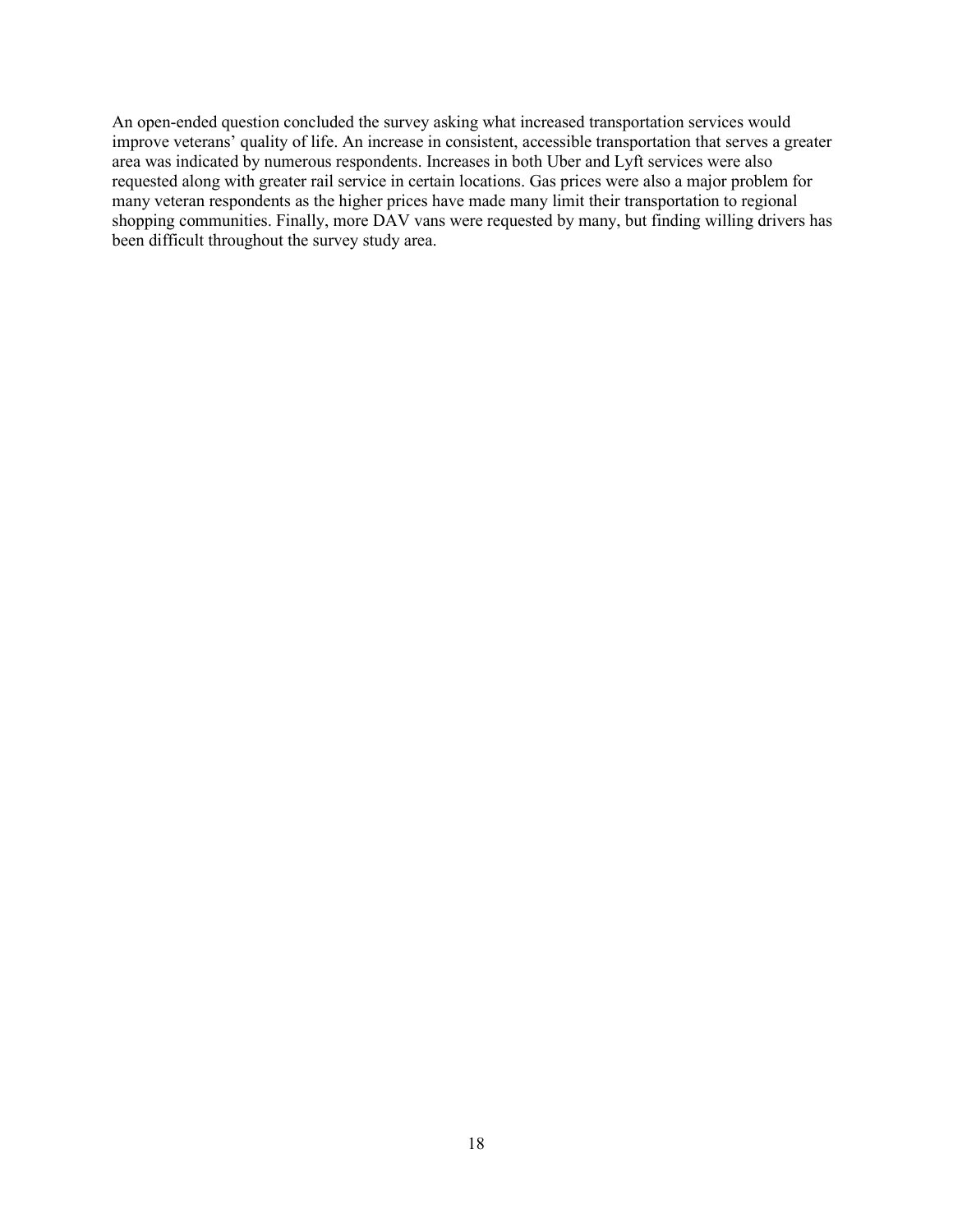<span id="page-23-0"></span>An open-ended question concluded the survey asking what increased transportation services would improve veterans' quality of life. An increase in consistent, accessible transportation that serves a greater area was indicated by numerous respondents. Increases in both Uber and Lyft services were also requested along with greater rail service in certain locations. Gas prices were also a major problem for many veteran respondents as the higher prices have made many limit their transportation to regional shopping communities. Finally, more DAV vans were requested by many, but finding willing drivers has been difficult throughout the survey study area.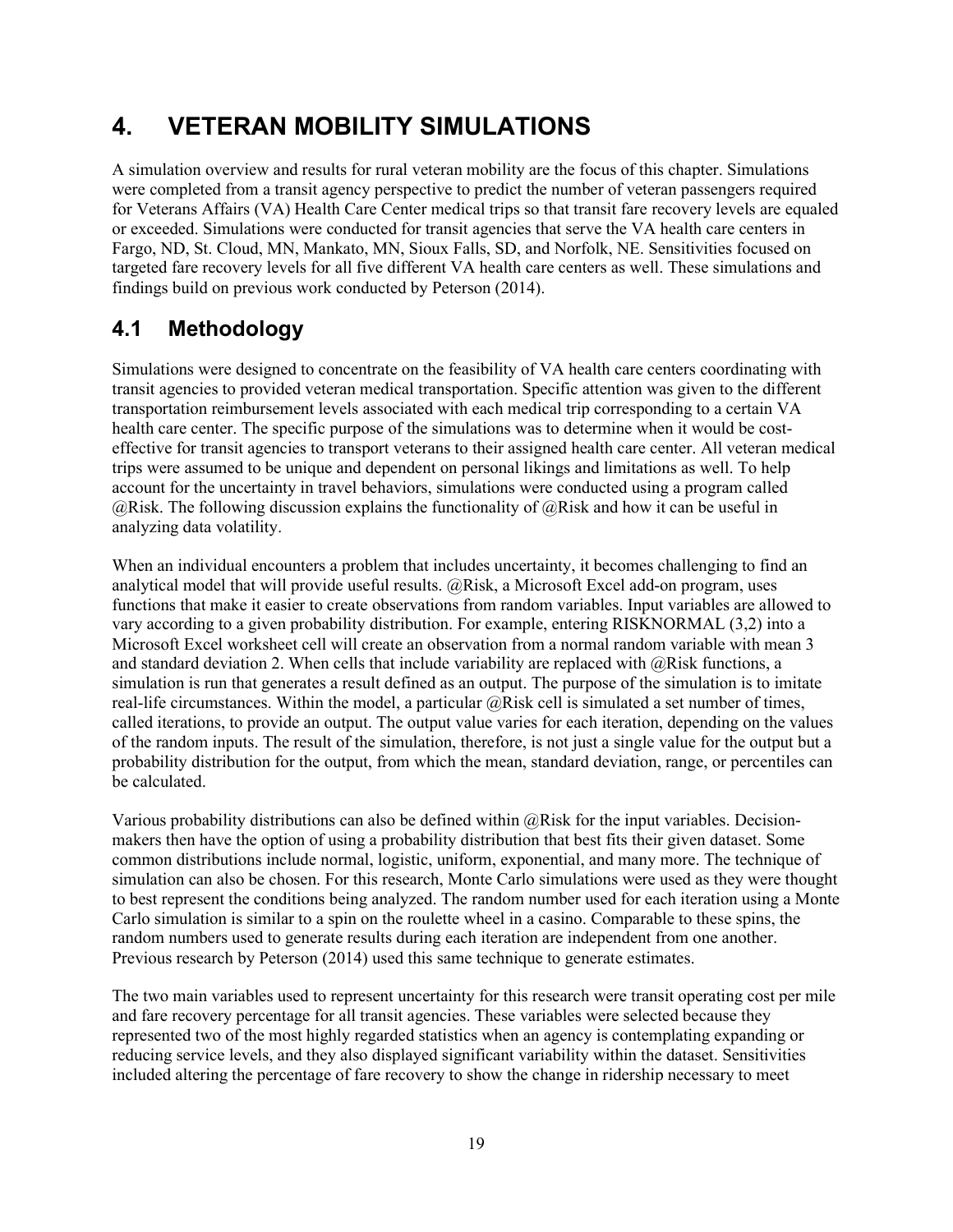# **4. VETERAN MOBILITY SIMULATIONS**

A simulation overview and results for rural veteran mobility are the focus of this chapter. Simulations were completed from a transit agency perspective to predict the number of veteran passengers required for Veterans Affairs (VA) Health Care Center medical trips so that transit fare recovery levels are equaled or exceeded. Simulations were conducted for transit agencies that serve the VA health care centers in Fargo, ND, St. Cloud, MN, Mankato, MN, Sioux Falls, SD, and Norfolk, NE. Sensitivities focused on targeted fare recovery levels for all five different VA health care centers as well. These simulations and findings build on previous work conducted by Peterson (2014).

### <span id="page-24-0"></span>**4.1 Methodology**

Simulations were designed to concentrate on the feasibility of VA health care centers coordinating with transit agencies to provided veteran medical transportation. Specific attention was given to the different transportation reimbursement levels associated with each medical trip corresponding to a certain VA health care center. The specific purpose of the simulations was to determine when it would be costeffective for transit agencies to transport veterans to their assigned health care center. All veteran medical trips were assumed to be unique and dependent on personal likings and limitations as well. To help account for the uncertainty in travel behaviors, simulations were conducted using a program called @Risk. The following discussion explains the functionality of @Risk and how it can be useful in analyzing data volatility.

When an individual encounters a problem that includes uncertainty, it becomes challenging to find an analytical model that will provide useful results.  $@Risk$ , a Microsoft Excel add-on program, uses functions that make it easier to create observations from random variables. Input variables are allowed to vary according to a given probability distribution. For example, entering RISKNORMAL (3,2) into a Microsoft Excel worksheet cell will create an observation from a normal random variable with mean 3 and standard deviation 2. When cells that include variability are replaced with  $\omega$ Risk functions, a simulation is run that generates a result defined as an output. The purpose of the simulation is to imitate real-life circumstances. Within the model, a particular @Risk cell is simulated a set number of times, called iterations, to provide an output. The output value varies for each iteration, depending on the values of the random inputs. The result of the simulation, therefore, is not just a single value for the output but a probability distribution for the output, from which the mean, standard deviation, range, or percentiles can be calculated.

Various probability distributions can also be defined within  $@Risk$  for the input variables. Decisionmakers then have the option of using a probability distribution that best fits their given dataset. Some common distributions include normal, logistic, uniform, exponential, and many more. The technique of simulation can also be chosen. For this research, Monte Carlo simulations were used as they were thought to best represent the conditions being analyzed. The random number used for each iteration using a Monte Carlo simulation is similar to a spin on the roulette wheel in a casino. Comparable to these spins, the random numbers used to generate results during each iteration are independent from one another. Previous research by Peterson (2014) used this same technique to generate estimates.

The two main variables used to represent uncertainty for this research were transit operating cost per mile and fare recovery percentage for all transit agencies. These variables were selected because they represented two of the most highly regarded statistics when an agency is contemplating expanding or reducing service levels, and they also displayed significant variability within the dataset. Sensitivities included altering the percentage of fare recovery to show the change in ridership necessary to meet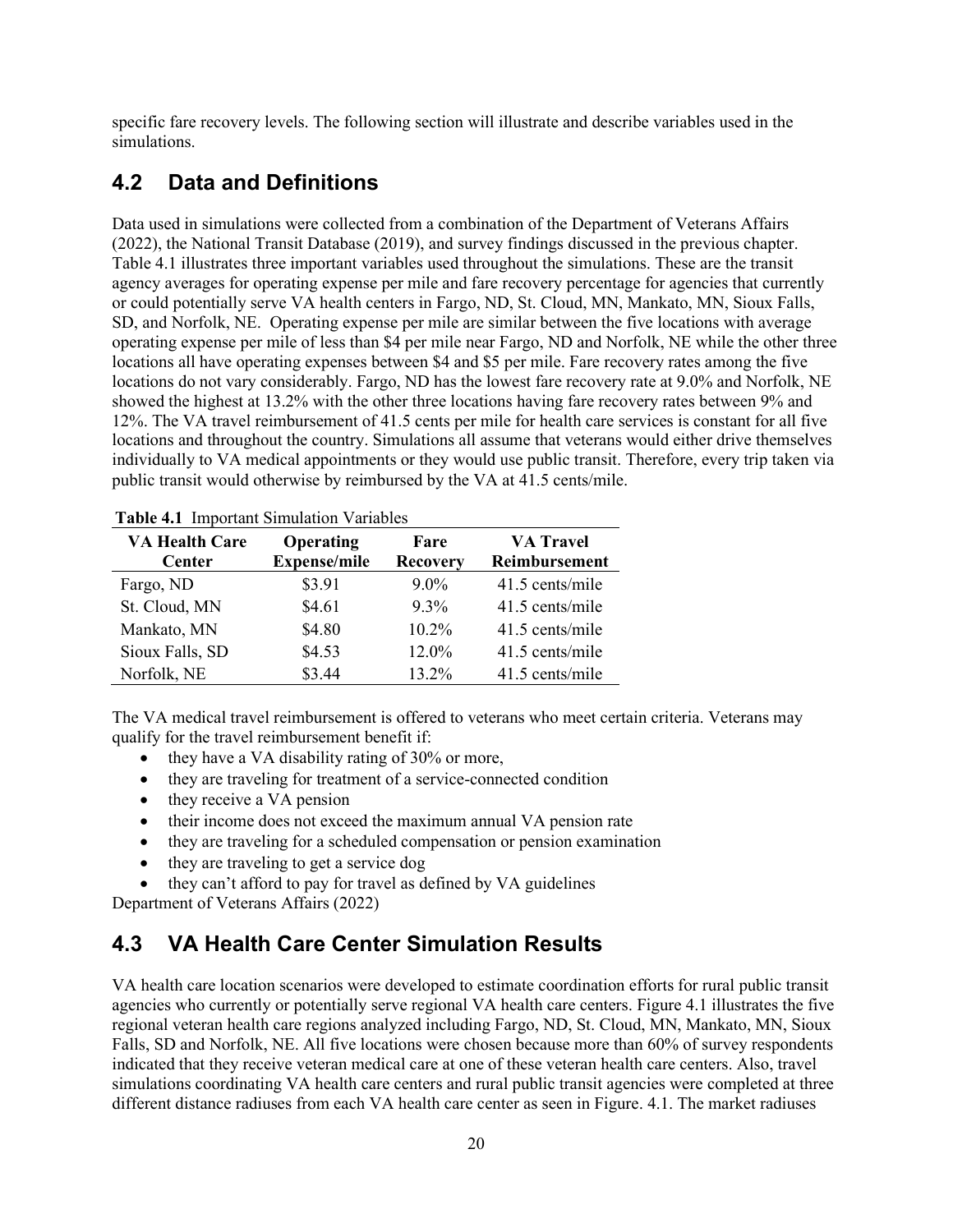specific fare recovery levels. The following section will illustrate and describe variables used in the simulations.

#### <span id="page-25-0"></span>**4.2 Data and Definitions**

Data used in simulations were collected from a combination of the Department of Veterans Affairs (2022), the National Transit Database (2019), and survey findings discussed in the previous chapter. Table 4.1 illustrates three important variables used throughout the simulations. These are the transit agency averages for operating expense per mile and fare recovery percentage for agencies that currently or could potentially serve VA health centers in Fargo, ND, St. Cloud, MN, Mankato, MN, Sioux Falls, SD, and Norfolk, NE. Operating expense per mile are similar between the five locations with average operating expense per mile of less than \$4 per mile near Fargo, ND and Norfolk, NE while the other three locations all have operating expenses between \$4 and \$5 per mile. Fare recovery rates among the five locations do not vary considerably. Fargo, ND has the lowest fare recovery rate at 9.0% and Norfolk, NE showed the highest at 13.2% with the other three locations having fare recovery rates between 9% and 12%. The VA travel reimbursement of 41.5 cents per mile for health care services is constant for all five locations and throughout the country. Simulations all assume that veterans would either drive themselves individually to VA medical appointments or they would use public transit. Therefore, every trip taken via public transit would otherwise by reimbursed by the VA at 41.5 cents/mile.

| <b>Table 7.1</b> Important Bimulation variables |                                  |                         |                                   |  |  |  |
|-------------------------------------------------|----------------------------------|-------------------------|-----------------------------------|--|--|--|
| <b>VA Health Care</b><br><b>Center</b>          | Operating<br><b>Expense/mile</b> | Fare<br><b>Recovery</b> | <b>VA Travel</b><br>Reimbursement |  |  |  |
| Fargo, ND                                       | \$3.91                           | $9.0\%$                 | 41.5 cents/mile                   |  |  |  |
| St. Cloud, MN                                   | \$4.61                           | $9.3\%$                 | 41.5 cents/mile                   |  |  |  |
| Mankato, MN                                     | \$4.80                           | $10.2\%$                | 41.5 cents/mile                   |  |  |  |
| Sioux Falls, SD                                 | \$4.53                           | 12.0%                   | 41.5 cents/mile                   |  |  |  |
| Norfolk, NE                                     | \$3.44                           | 13.2%                   | 41.5 cents/mile                   |  |  |  |

<span id="page-25-2"></span>**Table 4.1** Important Simulation Variables

The VA medical travel reimbursement is offered to veterans who meet certain criteria. Veterans may qualify for the travel reimbursement benefit if:

- they have a VA disability rating of 30% or more,
- they are traveling for treatment of a service-connected condition
- they receive a VA pension
- their income does not exceed the maximum annual VA pension rate
- they are traveling for a scheduled compensation or pension examination
- they are traveling to get a service dog
- they can't afford to pay for travel as defined by VA guidelines

Department of Veterans Affairs (2022)

#### <span id="page-25-1"></span>**4.3 VA Health Care Center Simulation Results**

VA health care location scenarios were developed to estimate coordination efforts for rural public transit agencies who currently or potentially serve regional VA health care centers. Figure 4.1 illustrates the five regional veteran health care regions analyzed including Fargo, ND, St. Cloud, MN, Mankato, MN, Sioux Falls, SD and Norfolk, NE. All five locations were chosen because more than 60% of survey respondents indicated that they receive veteran medical care at one of these veteran health care centers. Also, travel simulations coordinating VA health care centers and rural public transit agencies were completed at three different distance radiuses from each VA health care center as seen in Figure. 4.1. The market radiuses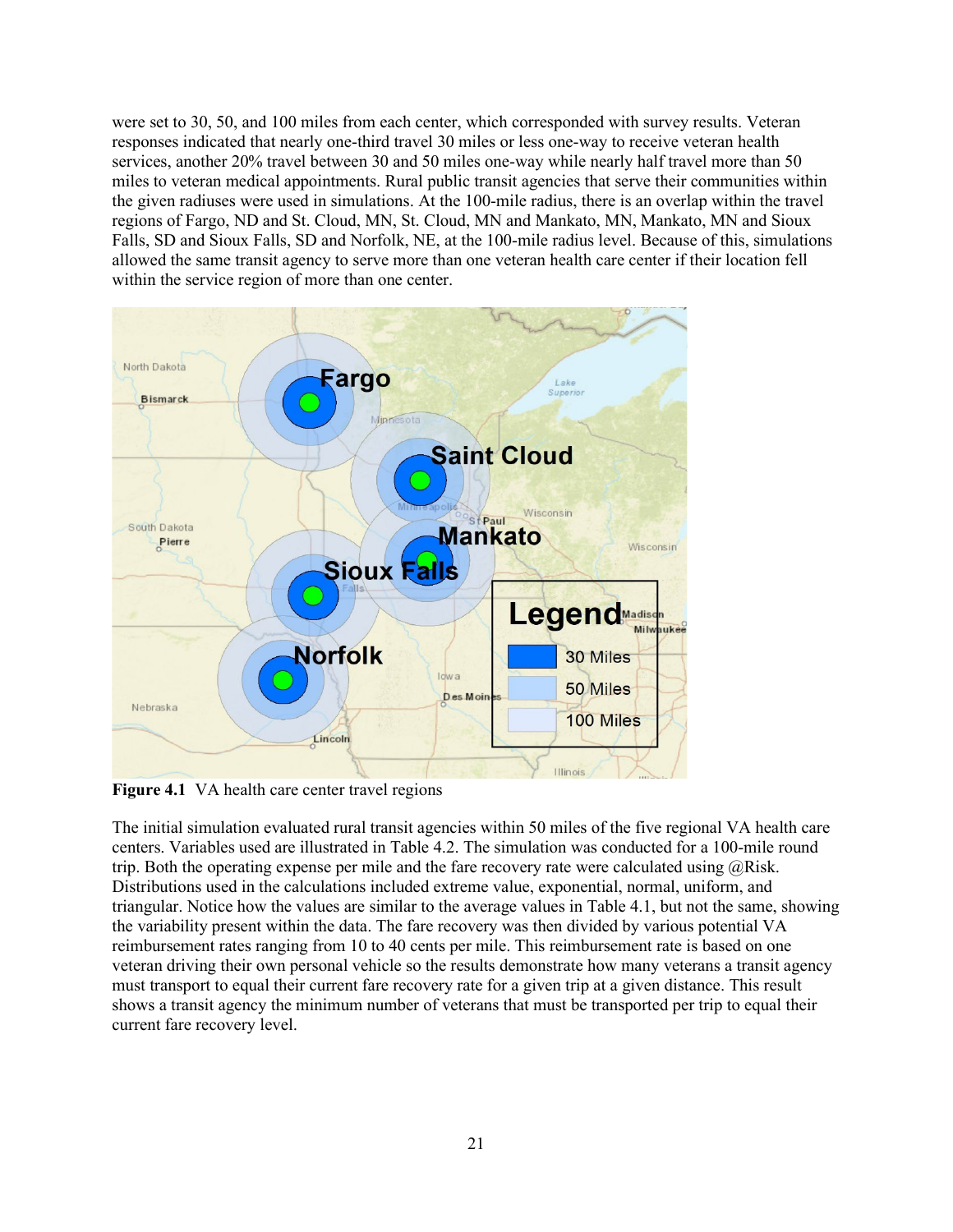were set to 30, 50, and 100 miles from each center, which corresponded with survey results. Veteran responses indicated that nearly one-third travel 30 miles or less one-way to receive veteran health services, another 20% travel between 30 and 50 miles one-way while nearly half travel more than 50 miles to veteran medical appointments. Rural public transit agencies that serve their communities within the given radiuses were used in simulations. At the 100-mile radius, there is an overlap within the travel regions of Fargo, ND and St. Cloud, MN, St. Cloud, MN and Mankato, MN, Mankato, MN and Sioux Falls, SD and Sioux Falls, SD and Norfolk, NE, at the 100-mile radius level. Because of this, simulations allowed the same transit agency to serve more than one veteran health care center if their location fell within the service region of more than one center.



**Figure 4.1** VA health care center travel regions

<span id="page-26-1"></span><span id="page-26-0"></span>The initial simulation evaluated rural transit agencies within 50 miles of the five regional VA health care centers. Variables used are illustrated in Table 4.2. The simulation was conducted for a 100-mile round trip. Both the operating expense per mile and the fare recovery rate were calculated using  $@Risk$ . Distributions used in the calculations included extreme value, exponential, normal, uniform, and triangular. Notice how the values are similar to the average values in Table 4.1, but not the same, showing the variability present within the data. The fare recovery was then divided by various potential VA reimbursement rates ranging from 10 to 40 cents per mile. This reimbursement rate is based on one veteran driving their own personal vehicle so the results demonstrate how many veterans a transit agency must transport to equal their current fare recovery rate for a given trip at a given distance. This result shows a transit agency the minimum number of veterans that must be transported per trip to equal their current fare recovery level.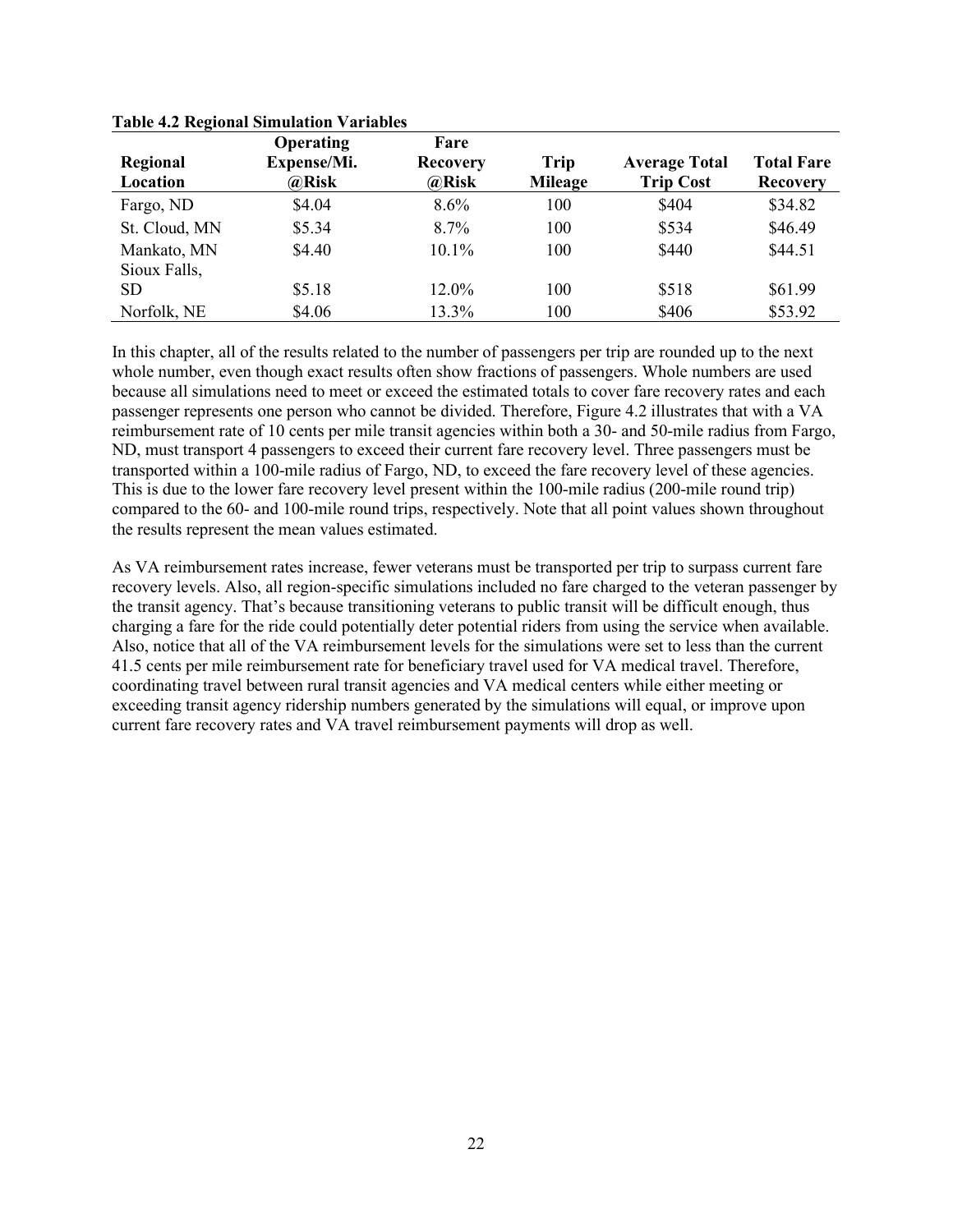|               | <b>Operating</b> | Fare            |                |                      |                   |
|---------------|------------------|-----------------|----------------|----------------------|-------------------|
| Regional      | Expense/Mi.      | <b>Recovery</b> | Trip           | <b>Average Total</b> | <b>Total Fare</b> |
| Location      | @Risk            | @Risk           | <b>Mileage</b> | <b>Trip Cost</b>     | <b>Recovery</b>   |
| Fargo, ND     | \$4.04           | $8.6\%$         | 100            | \$404                | \$34.82           |
| St. Cloud, MN | \$5.34           | $8.7\%$         | 100            | \$534                | \$46.49           |
| Mankato, MN   | \$4.40           | $10.1\%$        | 100            | \$440                | \$44.51           |
| Sioux Falls,  |                  |                 |                |                      |                   |
| <b>SD</b>     | \$5.18           | 12.0%           | 100            | \$518                | \$61.99           |
| Norfolk, NE   | \$4.06           | 13.3%           | 100            | \$406                | \$53.92           |

**Table 4.2 Regional Simulation Variables**

In this chapter, all of the results related to the number of passengers per trip are rounded up to the next whole number, even though exact results often show fractions of passengers. Whole numbers are used because all simulations need to meet or exceed the estimated totals to cover fare recovery rates and each passenger represents one person who cannot be divided. Therefore, Figure 4.2 illustrates that with a VA reimbursement rate of 10 cents per mile transit agencies within both a 30- and 50-mile radius from Fargo, ND, must transport 4 passengers to exceed their current fare recovery level. Three passengers must be transported within a 100-mile radius of Fargo, ND, to exceed the fare recovery level of these agencies. This is due to the lower fare recovery level present within the 100-mile radius (200-mile round trip) compared to the 60- and 100-mile round trips, respectively. Note that all point values shown throughout the results represent the mean values estimated.

As VA reimbursement rates increase, fewer veterans must be transported per trip to surpass current fare recovery levels. Also, all region-specific simulations included no fare charged to the veteran passenger by the transit agency. That's because transitioning veterans to public transit will be difficult enough, thus charging a fare for the ride could potentially deter potential riders from using the service when available. Also, notice that all of the VA reimbursement levels for the simulations were set to less than the current 41.5 cents per mile reimbursement rate for beneficiary travel used for VA medical travel. Therefore, coordinating travel between rural transit agencies and VA medical centers while either meeting or exceeding transit agency ridership numbers generated by the simulations will equal, or improve upon current fare recovery rates and VA travel reimbursement payments will drop as well.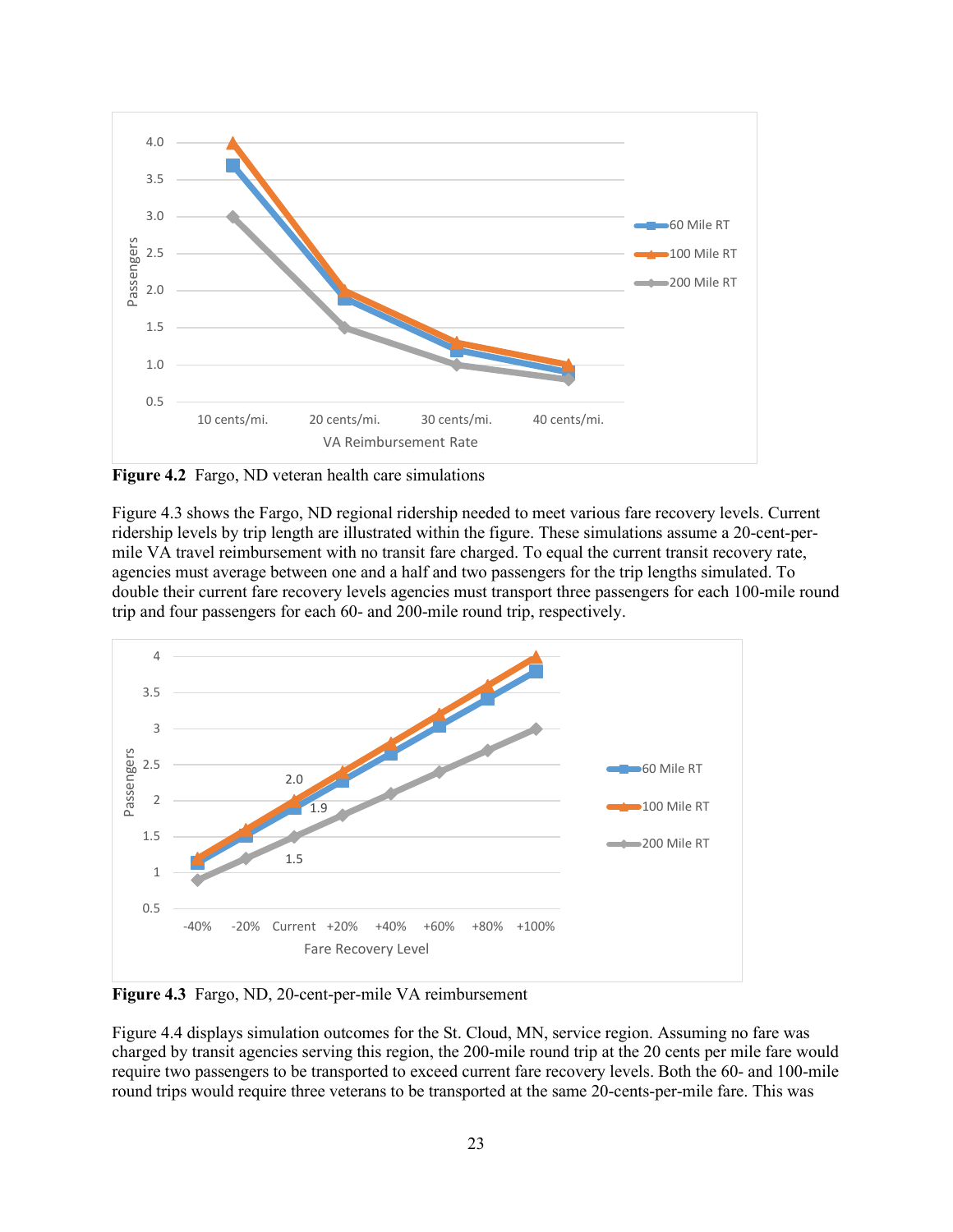

<span id="page-28-0"></span>**Figure 4.2** Fargo, ND veteran health care simulations

Figure 4.3 shows the Fargo, ND regional ridership needed to meet various fare recovery levels. Current ridership levels by trip length are illustrated within the figure. These simulations assume a 20-cent-permile VA travel reimbursement with no transit fare charged. To equal the current transit recovery rate, agencies must average between one and a half and two passengers for the trip lengths simulated. To double their current fare recovery levels agencies must transport three passengers for each 100-mile round trip and four passengers for each 60- and 200-mile round trip, respectively.



<span id="page-28-1"></span>**Figure 4.3** Fargo, ND, 20-cent-per-mile VA reimbursement

Figure 4.4 displays simulation outcomes for the St. Cloud, MN, service region. Assuming no fare was charged by transit agencies serving this region, the 200-mile round trip at the 20 cents per mile fare would require two passengers to be transported to exceed current fare recovery levels. Both the 60- and 100-mile round trips would require three veterans to be transported at the same 20-cents-per-mile fare. This was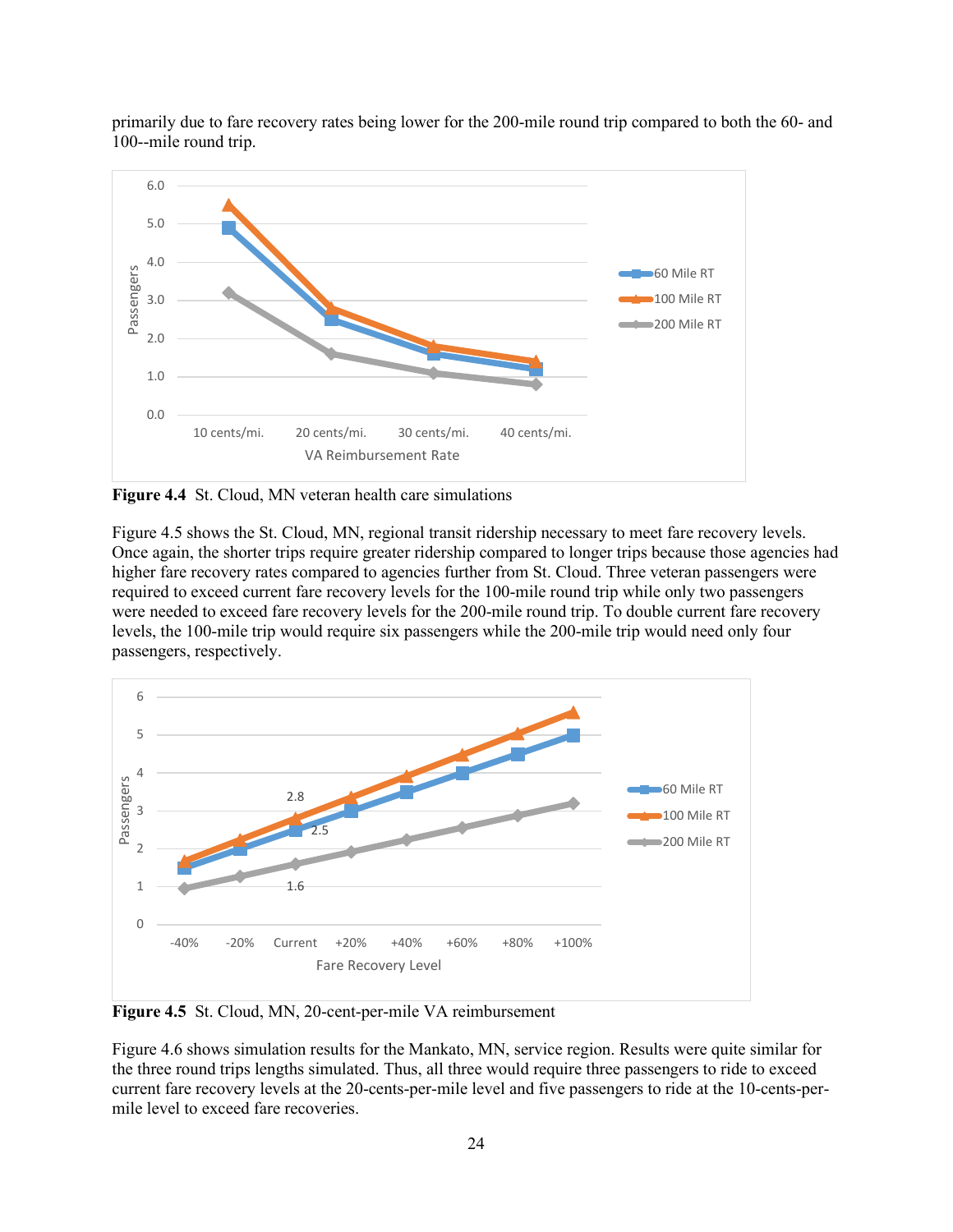

primarily due to fare recovery rates being lower for the 200-mile round trip compared to both the 60- and 100--mile round trip.

<span id="page-29-0"></span>**Figure 4.4** St. Cloud, MN veteran health care simulations

Figure 4.5 shows the St. Cloud, MN, regional transit ridership necessary to meet fare recovery levels. Once again, the shorter trips require greater ridership compared to longer trips because those agencies had higher fare recovery rates compared to agencies further from St. Cloud. Three veteran passengers were required to exceed current fare recovery levels for the 100-mile round trip while only two passengers were needed to exceed fare recovery levels for the 200-mile round trip. To double current fare recovery levels, the 100-mile trip would require six passengers while the 200-mile trip would need only four passengers, respectively.



<span id="page-29-1"></span>**Figure 4.5** St. Cloud, MN, 20-cent-per-mile VA reimbursement

Figure 4.6 shows simulation results for the Mankato, MN, service region. Results were quite similar for the three round trips lengths simulated. Thus, all three would require three passengers to ride to exceed current fare recovery levels at the 20-cents-per-mile level and five passengers to ride at the 10-cents-permile level to exceed fare recoveries.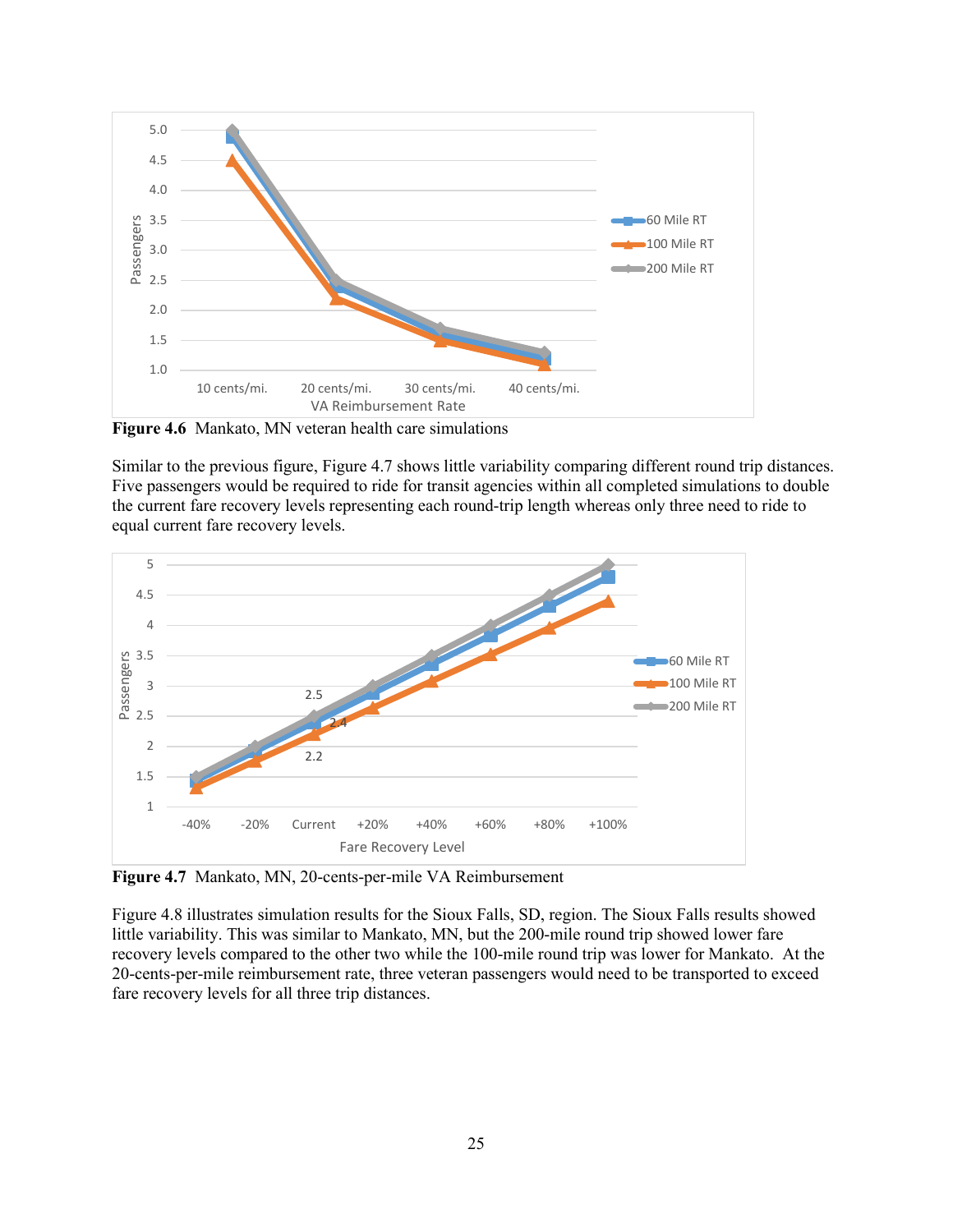

<span id="page-30-0"></span>**Figure 4.6** Mankato, MN veteran health care simulations

Similar to the previous figure, Figure 4.7 shows little variability comparing different round trip distances. Five passengers would be required to ride for transit agencies within all completed simulations to double the current fare recovery levels representing each round-trip length whereas only three need to ride to equal current fare recovery levels.



<span id="page-30-1"></span>**Figure 4.7** Mankato, MN, 20-cents-per-mile VA Reimbursement

Figure 4.8 illustrates simulation results for the Sioux Falls, SD, region. The Sioux Falls results showed little variability. This was similar to Mankato, MN, but the 200-mile round trip showed lower fare recovery levels compared to the other two while the 100-mile round trip was lower for Mankato. At the 20-cents-per-mile reimbursement rate, three veteran passengers would need to be transported to exceed fare recovery levels for all three trip distances.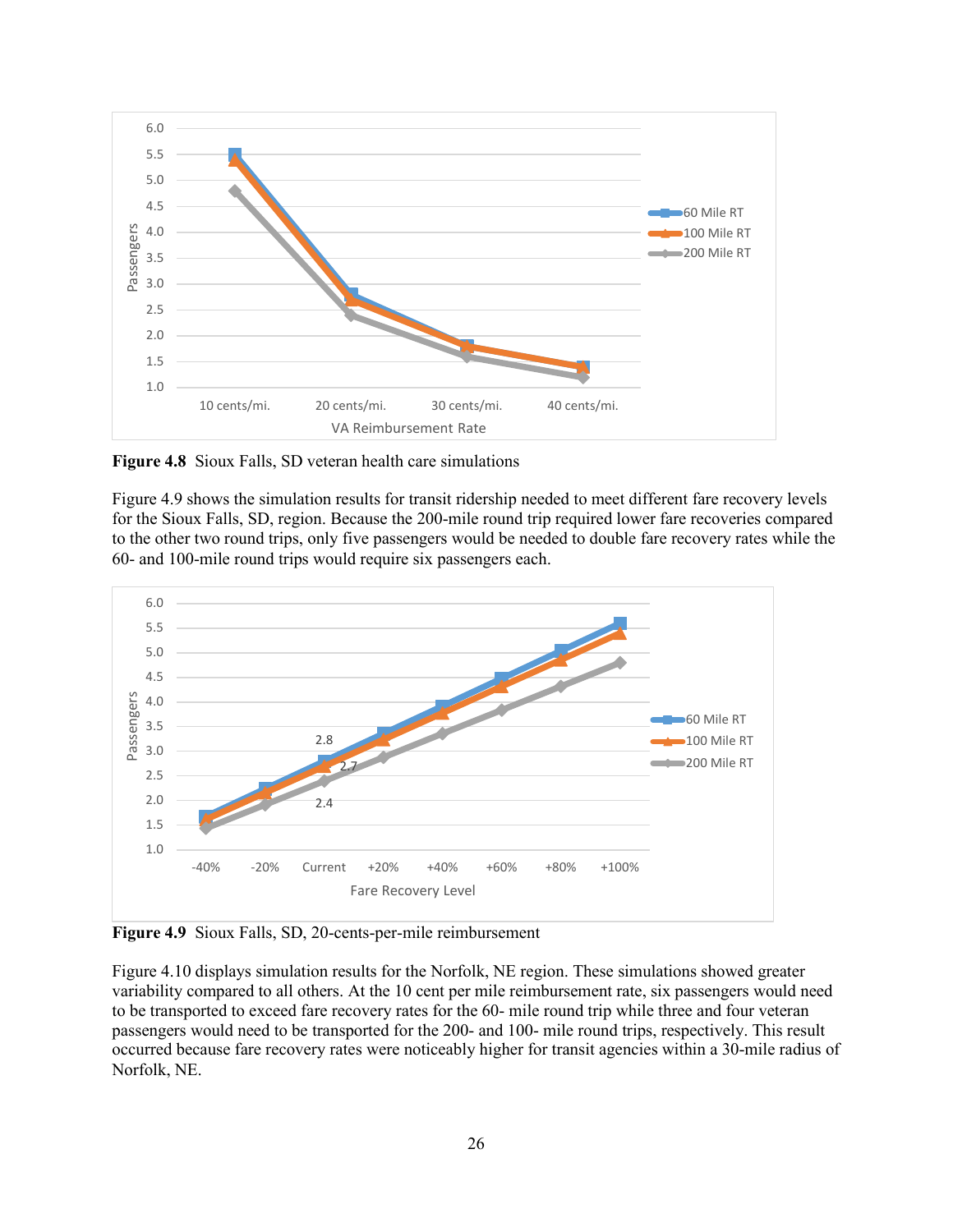

<span id="page-31-0"></span>**Figure 4.8** Sioux Falls, SD veteran health care simulations

Figure 4.9 shows the simulation results for transit ridership needed to meet different fare recovery levels for the Sioux Falls, SD, region. Because the 200-mile round trip required lower fare recoveries compared to the other two round trips, only five passengers would be needed to double fare recovery rates while the 60- and 100-mile round trips would require six passengers each.



<span id="page-31-1"></span>**Figure 4.9** Sioux Falls, SD, 20-cents-per-mile reimbursement

Figure 4.10 displays simulation results for the Norfolk, NE region. These simulations showed greater variability compared to all others. At the 10 cent per mile reimbursement rate, six passengers would need to be transported to exceed fare recovery rates for the 60- mile round trip while three and four veteran passengers would need to be transported for the 200- and 100- mile round trips, respectively. This result occurred because fare recovery rates were noticeably higher for transit agencies within a 30-mile radius of Norfolk, NE.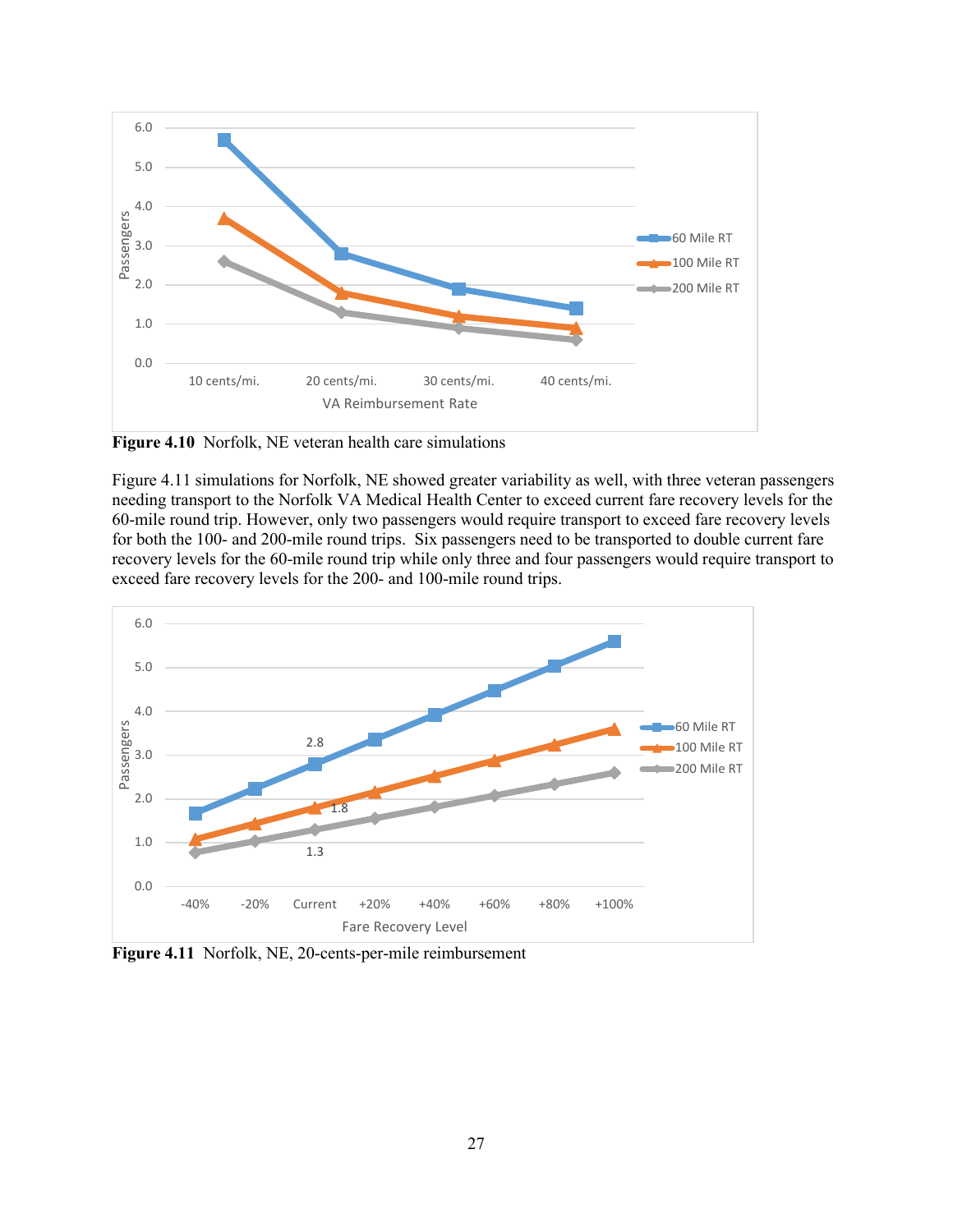

<span id="page-32-0"></span>**Figure 4.10** Norfolk, NE veteran health care simulations

Figure 4.11 simulations for Norfolk, NE showed greater variability as well, with three veteran passengers needing transport to the Norfolk VA Medical Health Center to exceed current fare recovery levels for the 60-mile round trip. However, only two passengers would require transport to exceed fare recovery levels for both the 100- and 200-mile round trips. Six passengers need to be transported to double current fare recovery levels for the 60-mile round trip while only three and four passengers would require transport to exceed fare recovery levels for the 200- and 100-mile round trips.



<span id="page-32-1"></span>**Figure 4.11** Norfolk, NE, 20-cents-per-mile reimbursement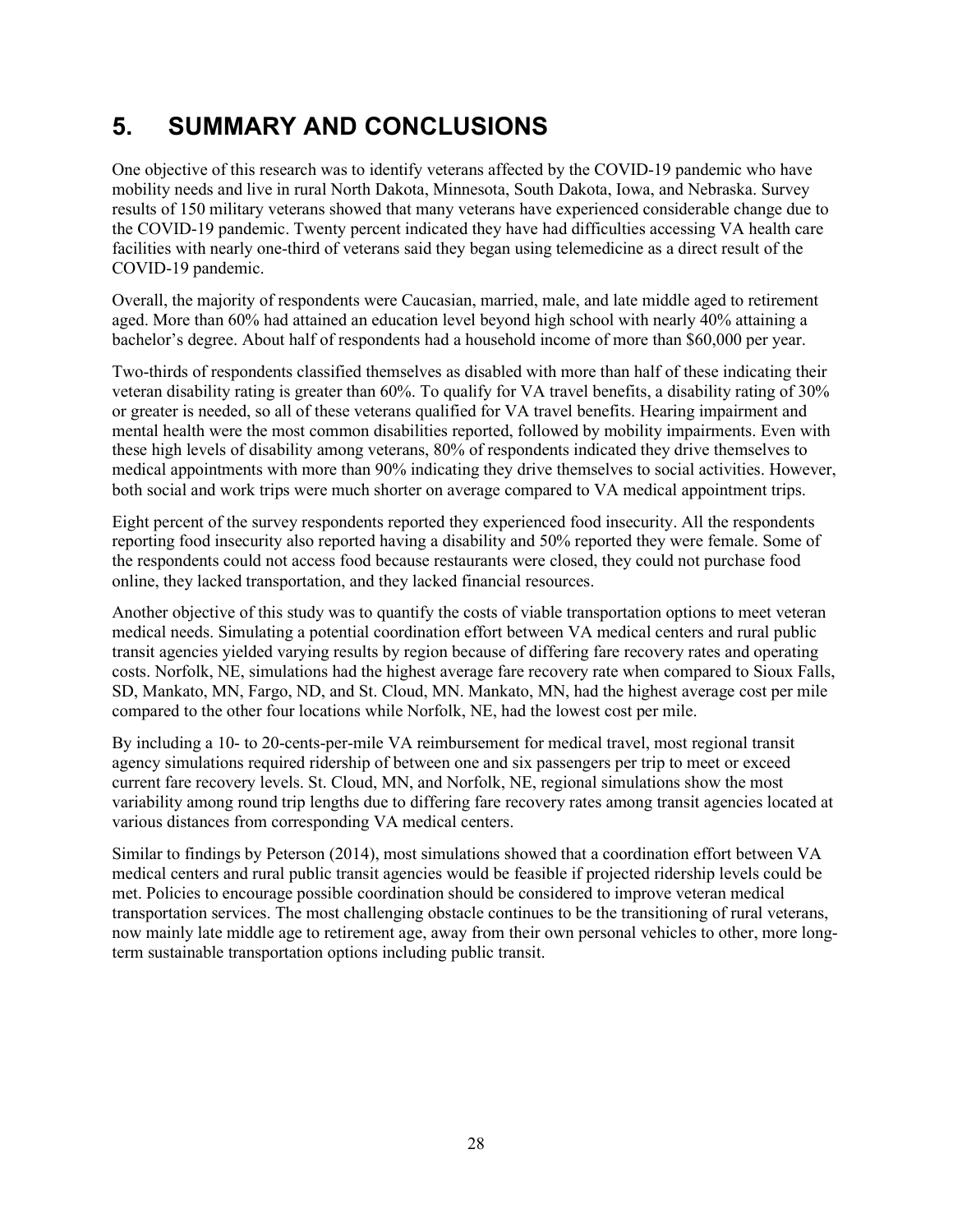# <span id="page-33-0"></span>**5. SUMMARY AND CONCLUSIONS**

One objective of this research was to identify veterans affected by the COVID-19 pandemic who have mobility needs and live in rural North Dakota, Minnesota, South Dakota, Iowa, and Nebraska. Survey results of 150 military veterans showed that many veterans have experienced considerable change due to the COVID-19 pandemic. Twenty percent indicated they have had difficulties accessing VA health care facilities with nearly one-third of veterans said they began using telemedicine as a direct result of the COVID-19 pandemic.

Overall, the majority of respondents were Caucasian, married, male, and late middle aged to retirement aged. More than 60% had attained an education level beyond high school with nearly 40% attaining a bachelor's degree. About half of respondents had a household income of more than \$60,000 per year.

Two-thirds of respondents classified themselves as disabled with more than half of these indicating their veteran disability rating is greater than 60%. To qualify for VA travel benefits, a disability rating of 30% or greater is needed, so all of these veterans qualified for VA travel benefits. Hearing impairment and mental health were the most common disabilities reported, followed by mobility impairments. Even with these high levels of disability among veterans, 80% of respondents indicated they drive themselves to medical appointments with more than 90% indicating they drive themselves to social activities. However, both social and work trips were much shorter on average compared to VA medical appointment trips.

Eight percent of the survey respondents reported they experienced food insecurity. All the respondents reporting food insecurity also reported having a disability and 50% reported they were female. Some of the respondents could not access food because restaurants were closed, they could not purchase food online, they lacked transportation, and they lacked financial resources.

Another objective of this study was to quantify the costs of viable transportation options to meet veteran medical needs. Simulating a potential coordination effort between VA medical centers and rural public transit agencies yielded varying results by region because of differing fare recovery rates and operating costs. Norfolk, NE, simulations had the highest average fare recovery rate when compared to Sioux Falls, SD, Mankato, MN, Fargo, ND, and St. Cloud, MN. Mankato, MN, had the highest average cost per mile compared to the other four locations while Norfolk, NE, had the lowest cost per mile.

By including a 10- to 20-cents-per-mile VA reimbursement for medical travel, most regional transit agency simulations required ridership of between one and six passengers per trip to meet or exceed current fare recovery levels. St. Cloud, MN, and Norfolk, NE, regional simulations show the most variability among round trip lengths due to differing fare recovery rates among transit agencies located at various distances from corresponding VA medical centers.

<span id="page-33-1"></span>Similar to findings by Peterson (2014), most simulations showed that a coordination effort between VA medical centers and rural public transit agencies would be feasible if projected ridership levels could be met. Policies to encourage possible coordination should be considered to improve veteran medical transportation services. The most challenging obstacle continues to be the transitioning of rural veterans, now mainly late middle age to retirement age, away from their own personal vehicles to other, more longterm sustainable transportation options including public transit.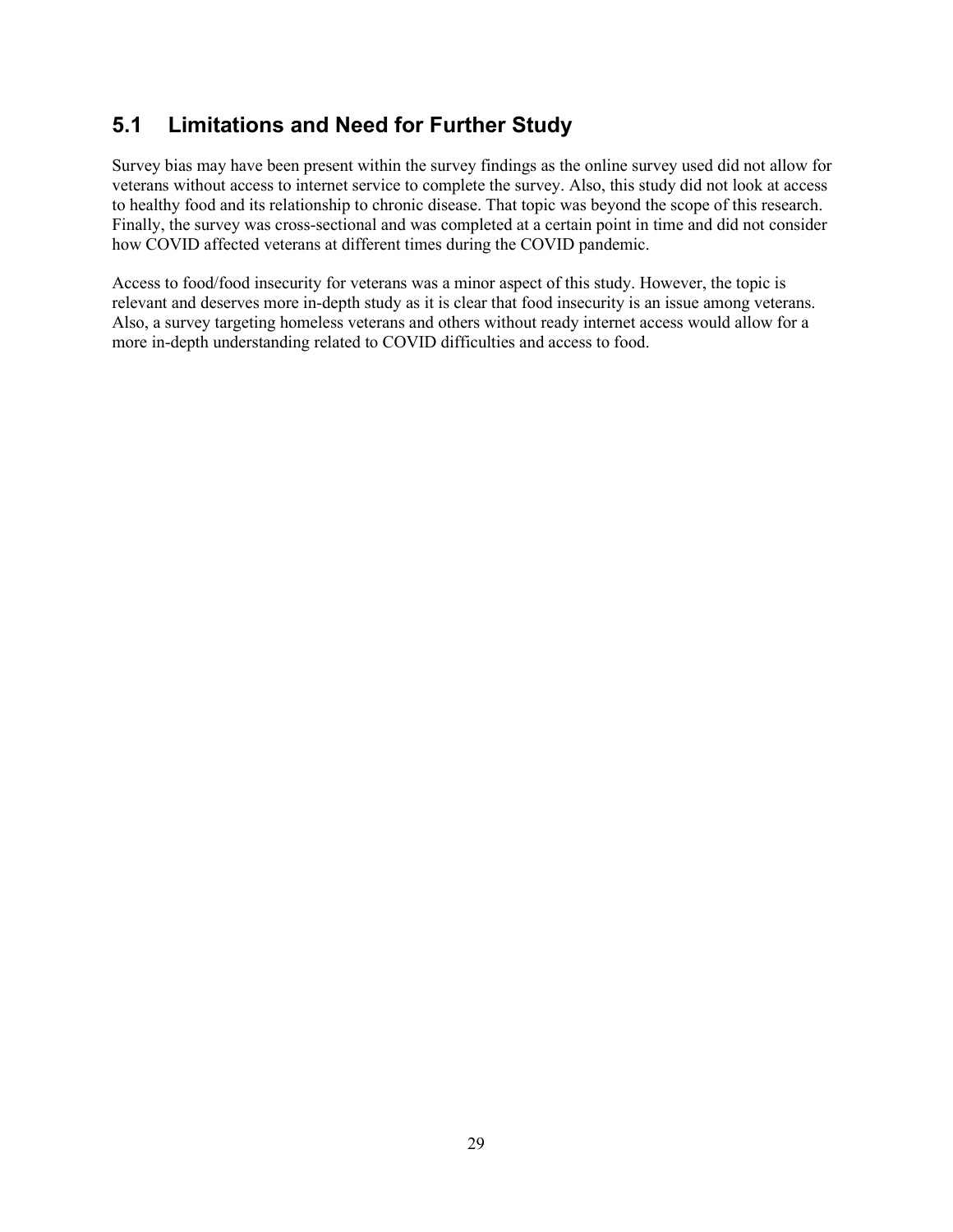## **5.1 Limitations and Need for Further Study**

Survey bias may have been present within the survey findings as the online survey used did not allow for veterans without access to internet service to complete the survey. Also, this study did not look at access to healthy food and its relationship to chronic disease. That topic was beyond the scope of this research. Finally, the survey was cross-sectional and was completed at a certain point in time and did not consider how COVID affected veterans at different times during the COVID pandemic.

Access to food/food insecurity for veterans was a minor aspect of this study. However, the topic is relevant and deserves more in-depth study as it is clear that food insecurity is an issue among veterans. Also, a survey targeting homeless veterans and others without ready internet access would allow for a more in-depth understanding related to COVID difficulties and access to food.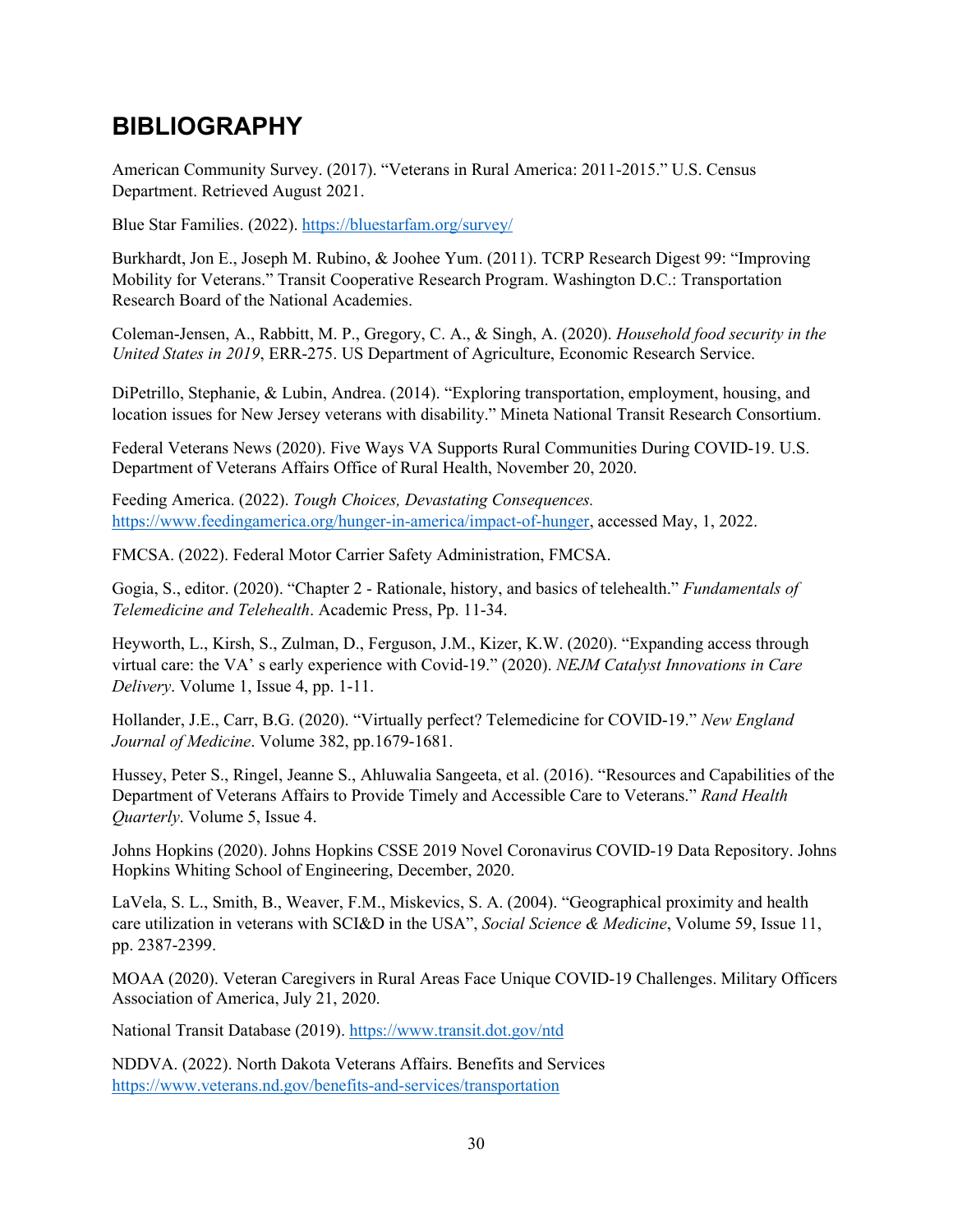## <span id="page-35-0"></span>**BIBLIOGRAPHY**

American Community Survey. (2017). "Veterans in Rural America: 2011-2015." U.S. Census Department. Retrieved August 2021.

Blue Star Families. (2022).<https://bluestarfam.org/survey/>

Burkhardt, Jon E., Joseph M. Rubino, & Joohee Yum. (2011). TCRP Research Digest 99: "Improving Mobility for Veterans." Transit Cooperative Research Program. Washington D.C.: Transportation Research Board of the National Academies.

Coleman-Jensen, A., Rabbitt, M. P., Gregory, C. A., & Singh, A. (2020). *Household food security in the United States in 2019*, ERR-275. US Department of Agriculture, Economic Research Service.

DiPetrillo, Stephanie, & Lubin, Andrea. (2014). "Exploring transportation, employment, housing, and location issues for New Jersey veterans with disability." Mineta National Transit Research Consortium.

Federal Veterans News (2020). Five Ways VA Supports Rural Communities During COVID-19. U.S. Department of Veterans Affairs Office of Rural Health, November 20, 2020.

Feeding America. (2022). *Tough Choices, Devastating Consequences.*  [https://www.feedingamerica.org/hunger-in-america/impact-of-hunger,](https://www.feedingamerica.org/hunger-in-america/impact-of-hunger) accessed May, 1, 2022.

FMCSA. (2022). Federal Motor Carrier Safety Administration, FMCSA.

Gogia, S., editor. (2020). "Chapter 2 - Rationale, history, and basics of telehealth." *Fundamentals of Telemedicine and Telehealth*. Academic Press, Pp. 11-34.

Heyworth, L., Kirsh, S., Zulman, D., Ferguson, J.M., Kizer, K.W. (2020). "Expanding access through virtual care: the VA' s early experience with Covid-19." (2020). *NEJM Catalyst Innovations in Care Delivery*. Volume 1, Issue 4, pp. 1-11.

Hollander, J.E., Carr, B.G. (2020). "Virtually perfect? Telemedicine for COVID-19." *New England Journal of Medicine*. Volume 382, pp.1679-1681.

Hussey, Peter S., Ringel, Jeanne S., Ahluwalia Sangeeta, et al. (2016). "Resources and Capabilities of the Department of Veterans Affairs to Provide Timely and Accessible Care to Veterans." *Rand Health Quarterly*. Volume 5, Issue 4.

Johns Hopkins (2020). Johns Hopkins CSSE 2019 Novel Coronavirus COVID-19 Data Repository. Johns Hopkins Whiting School of Engineering, December, 2020.

LaVela, S. L., Smith, B., Weaver, F.M., Miskevics, S. A. (2004). "Geographical proximity and health care utilization in veterans with SCI&D in the USA", *Social Science & Medicine*, Volume 59, Issue 11, pp. 2387-2399.

MOAA (2020). Veteran Caregivers in Rural Areas Face Unique COVID-19 Challenges. Military Officers Association of America, July 21, 2020.

National Transit Database (2019).<https://www.transit.dot.gov/ntd>

NDDVA. (2022). North Dakota Veterans Affairs. Benefits and Services <https://www.veterans.nd.gov/benefits-and-services/transportation>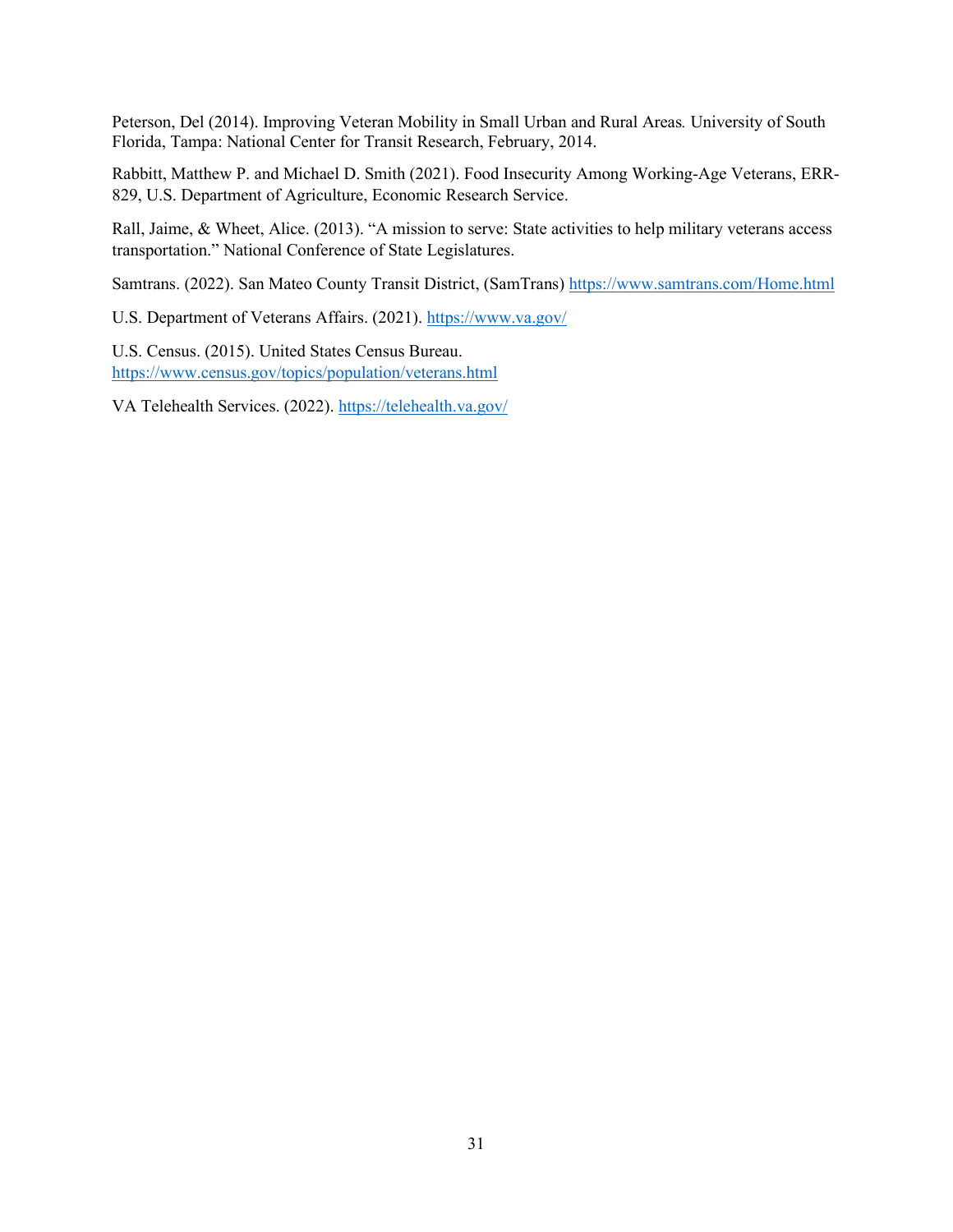Peterson, Del (2014). Improving Veteran Mobility in Small Urban and Rural Areas*.* University of South Florida, Tampa: National Center for Transit Research, February, 2014.

Rabbitt, Matthew P. and Michael D. Smith (2021). Food Insecurity Among Working-Age Veterans, ERR-829, U.S. Department of Agriculture, Economic Research Service.

Rall, Jaime, & Wheet, Alice. (2013). "A mission to serve: State activities to help military veterans access transportation." National Conference of State Legislatures.

Samtrans. (2022). San Mateo County Transit District, (SamTrans)<https://www.samtrans.com/Home.html>

U.S. Department of Veterans Affairs. (2021).<https://www.va.gov/>

U.S. Census. (2015). United States Census Bureau. <https://www.census.gov/topics/population/veterans.html>

VA Telehealth Services. (2022).<https://telehealth.va.gov/>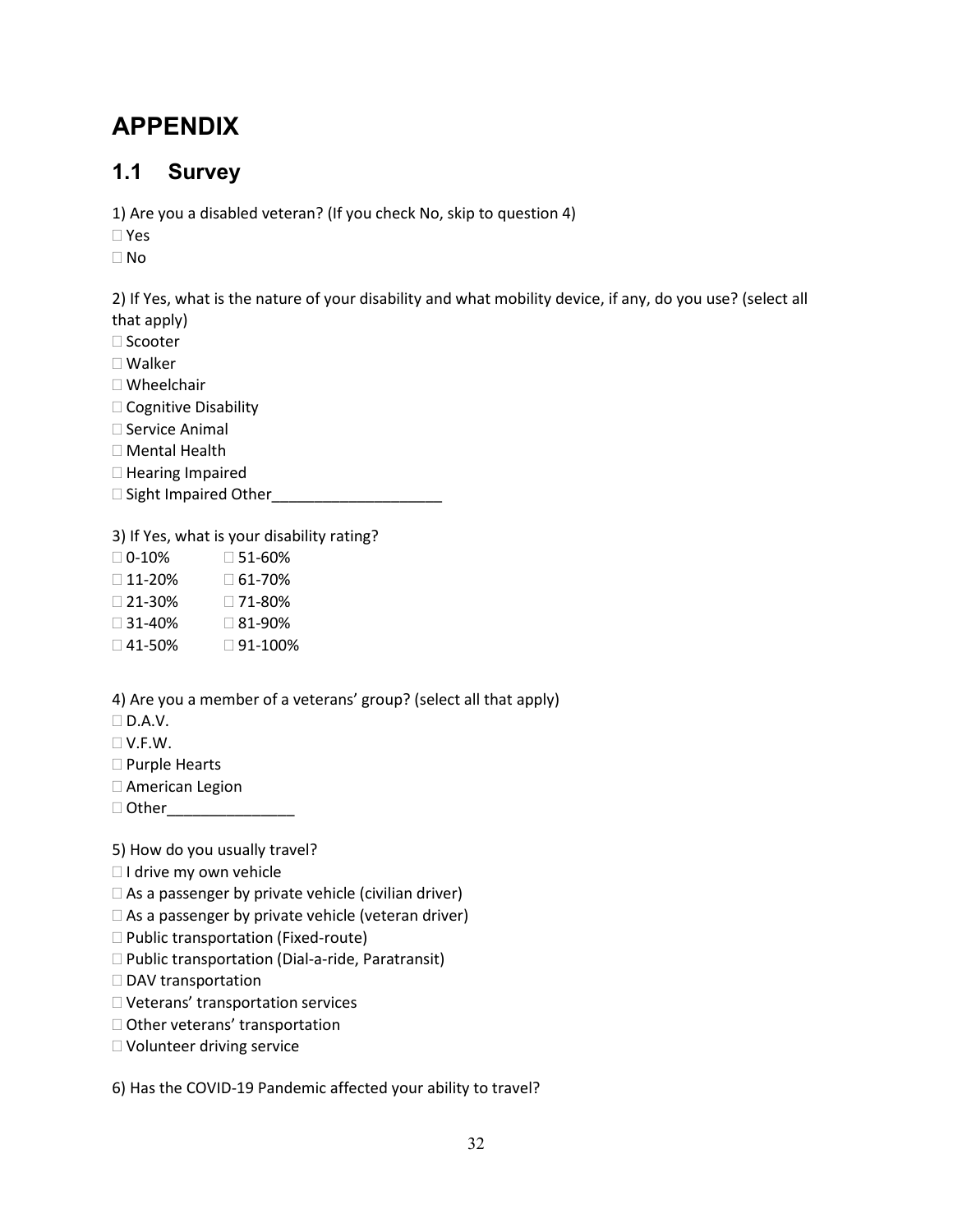# <span id="page-37-0"></span>**APPENDIX**

#### <span id="page-37-1"></span>**1.1 Survey**

1) Are you a disabled veteran? (If you check No, skip to question 4)

Yes

No

2) If Yes, what is the nature of your disability and what mobility device, if any, do you use? (select all that apply)

 $\square$  Scooter

Walker

- Wheelchair
- □ Cognitive Disability
- □ Service Animal
- Mental Health
- $\Box$  Hearing Impaired
- □ Sight Impaired Other\_\_\_\_

3) If Yes, what is your disability rating?

- $\Box$  0-10%  $\Box$  51-60%
- $\Box$  11-20%  $\Box$  61-70%
- 21-30% 71-80%
- $\Box$  31-40%  $\Box$  81-90%
- $\Box$  41-50%  $\Box$  91-100%

4) Are you a member of a veterans' group? (select all that apply)

- $\Box$  D.A.V.
- V.F.W.
- □ Purple Hearts
- American Legion
- □ Other\_\_\_\_\_\_\_\_\_\_\_\_\_\_\_\_\_\_

5) How do you usually travel?

- □ I drive my own vehicle
- $\Box$  As a passenger by private vehicle (civilian driver)
- $\square$  As a passenger by private vehicle (veteran driver)
- □ Public transportation (Fixed-route)
- $\Box$  Public transportation (Dial-a-ride, Paratransit)
- □ DAV transportation
- Veterans' transportation services
- □ Other veterans' transportation
- Volunteer driving service

6) Has the COVID-19 Pandemic affected your ability to travel?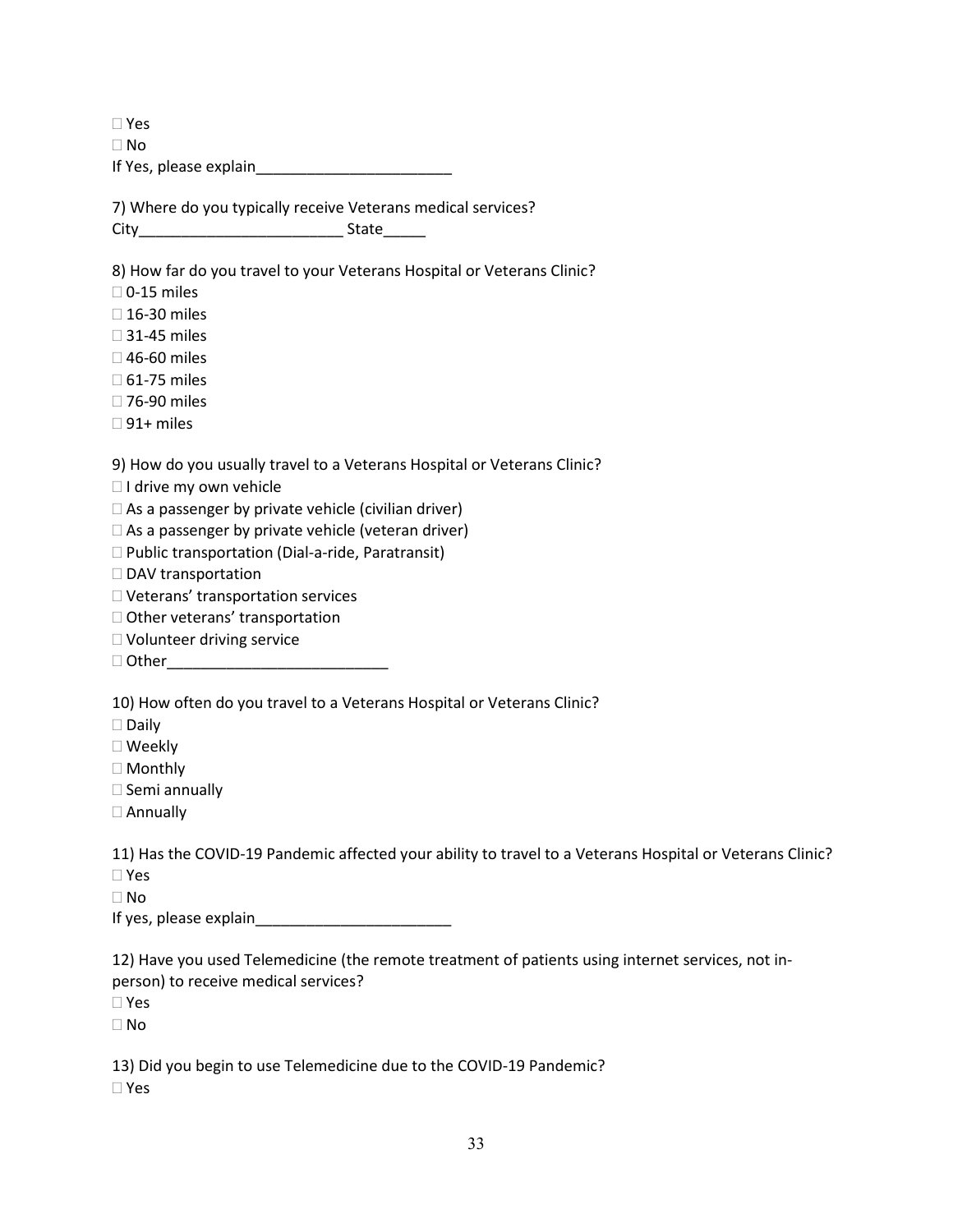Yes

No

If Yes, please explain\_\_\_\_\_\_\_\_\_\_\_\_\_\_\_\_\_\_\_\_\_\_\_

7) Where do you typically receive Veterans medical services?

City\_\_\_\_\_\_\_\_\_\_\_\_\_\_\_\_\_\_\_\_\_\_\_\_ State\_\_\_\_\_

8) How far do you travel to your Veterans Hospital or Veterans Clinic?

- $\square$  0-15 miles
- □ 16-30 miles
- □ 31-45 miles
- □ 46-60 miles
- □ 61-75 miles
- □ 76-90 miles
- $\Box$  91+ miles

9) How do you usually travel to a Veterans Hospital or Veterans Clinic?

□ I drive my own vehicle

 $\Box$  As a passenger by private vehicle (civilian driver)

 $\square$  As a passenger by private vehicle (veteran driver)

 $\square$  Public transportation (Dial-a-ride, Paratransit)

□ DAV transportation

Veterans' transportation services

- □ Other veterans' transportation
- Volunteer driving service
- Other\_\_\_\_\_\_\_\_\_\_\_\_\_\_\_\_\_\_\_\_\_\_\_\_\_\_

10) How often do you travel to a Veterans Hospital or Veterans Clinic?

- $\square$  Daily
- Weekly
- □ Monthly
- $\square$  Semi annually
- Annually

11) Has the COVID-19 Pandemic affected your ability to travel to a Veterans Hospital or Veterans Clinic? Yes

No

If yes, please explain\_\_\_\_\_\_\_\_\_\_\_\_\_\_\_\_\_\_\_\_\_\_\_

12) Have you used Telemedicine (the remote treatment of patients using internet services, not inperson) to receive medical services?

Yes

No

13) Did you begin to use Telemedicine due to the COVID-19 Pandemic? Yes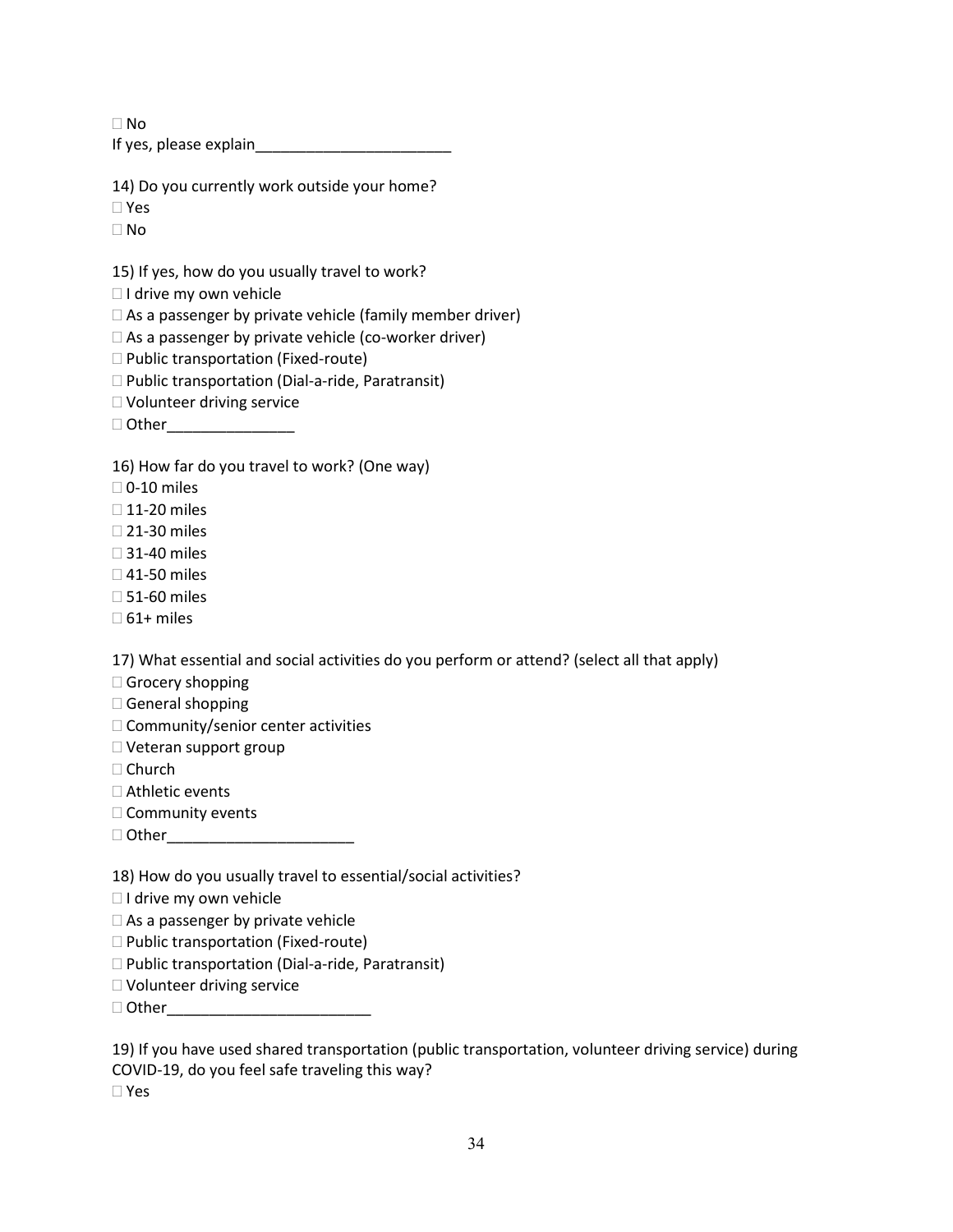$\Box$  No

If yes, please explain\_\_\_\_\_\_\_\_\_\_\_\_\_\_\_\_\_\_\_\_\_\_\_

14) Do you currently work outside your home?

Yes

No

15) If yes, how do you usually travel to work?

 $\Box$  I drive my own vehicle

 $\Box$  As a passenger by private vehicle (family member driver)

 $\Box$  As a passenger by private vehicle (co-worker driver)

□ Public transportation (Fixed-route)

 $\Box$  Public transportation (Dial-a-ride, Paratransit)

Volunteer driving service

Other\_\_\_\_\_\_\_\_\_\_\_\_\_\_\_

16) How far do you travel to work? (One way)

 $\square$  0-10 miles

 $\Box$  11-20 miles

□ 21-30 miles

□ 31-40 miles

□ 41-50 miles

 $\square$  51-60 miles

 $\square$  61+ miles

17) What essential and social activities do you perform or attend? (select all that apply)

 $\Box$  Grocery shopping

General shopping

 $\Box$  Community/senior center activities

□ Veteran support group

□ Church

□ Athletic events

 $\square$  Community events

 $\Box$  Other

18) How do you usually travel to essential/social activities?

 $\Box$  I drive my own vehicle

 $\square$  As a passenger by private vehicle

□ Public transportation (Fixed-route)

 $\square$  Public transportation (Dial-a-ride, Paratransit)

Volunteer driving service

Other\_\_\_\_\_\_\_\_\_\_\_\_\_\_\_\_\_\_\_\_\_\_\_\_

19) If you have used shared transportation (public transportation, volunteer driving service) during COVID-19, do you feel safe traveling this way?

Yes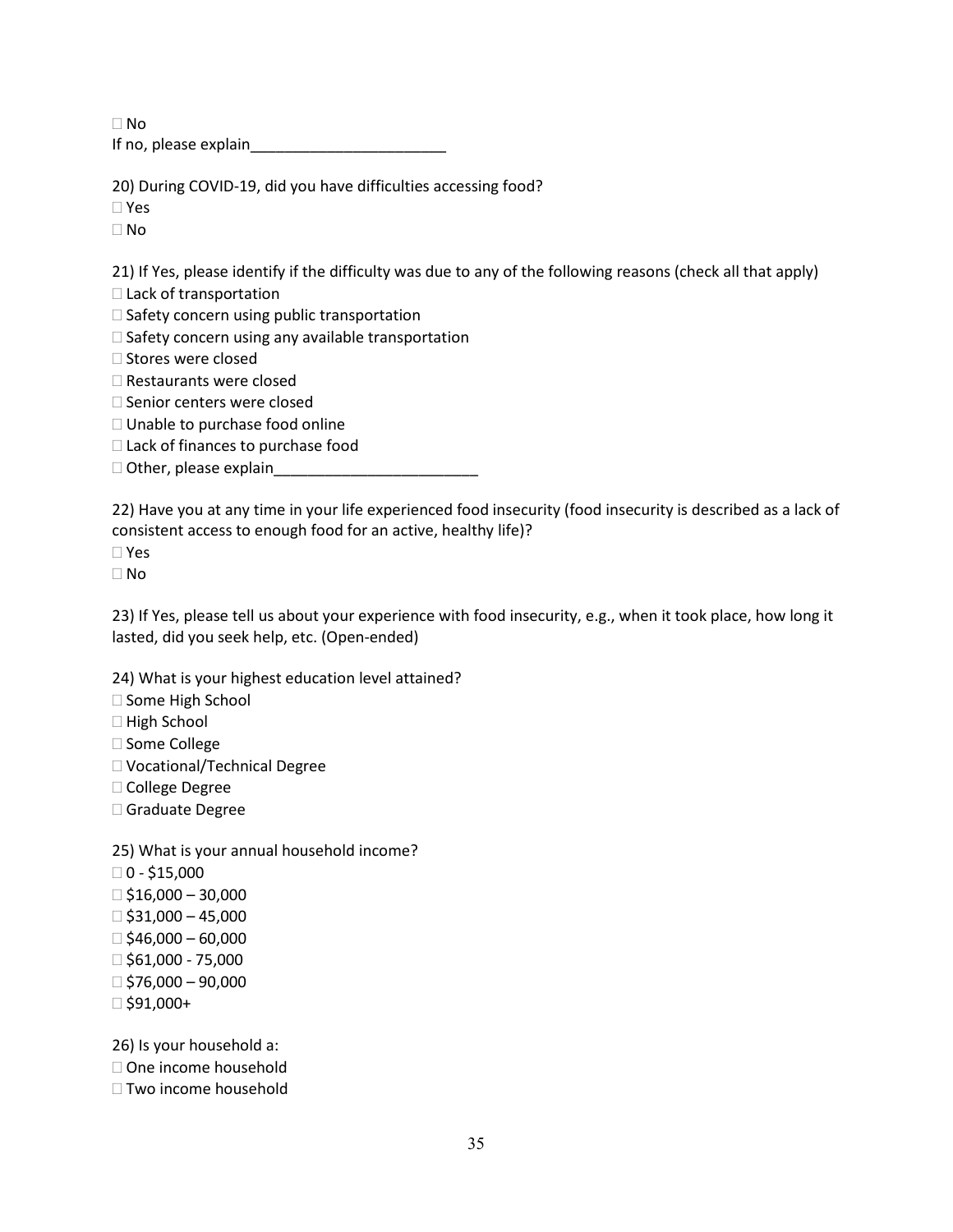$\Box$  No If no, please explain\_\_\_\_\_\_\_\_\_\_\_\_\_\_\_\_\_\_\_\_\_\_\_

20) During COVID-19, did you have difficulties accessing food?

Yes

No

21) If Yes, please identify if the difficulty was due to any of the following reasons (check all that apply)

□ Lack of transportation

 $\square$  Safety concern using public transportation

 $\square$  Safety concern using any available transportation

 $\Box$  Stores were closed

□ Restaurants were closed

□ Senior centers were closed

□ Unable to purchase food online

□ Lack of finances to purchase food

 $\Box$  Other, please explain

22) Have you at any time in your life experienced food insecurity (food insecurity is described as a lack of consistent access to enough food for an active, healthy life)?

Yes

No

23) If Yes, please tell us about your experience with food insecurity, e.g., when it took place, how long it lasted, did you seek help, etc. (Open-ended)

24) What is your highest education level attained?

□ Some High School

□ High School

□ Some College

Vocational/Technical Degree

College Degree

□ Graduate Degree

25) What is your annual household income?

 $\Box$  0 - \$15,000

 $\Box$ \$16,000 – 30,000

 $\Box$ \$31,000 – 45,000

 $\Box$ \$46,000 – 60,000

 $\Box$ \$61,000 - 75,000

 $\Box$ \$76,000 – 90,000

 $\Box$ \$91,000+

26) Is your household a:

□ One income household

 $\Box$  Two income household